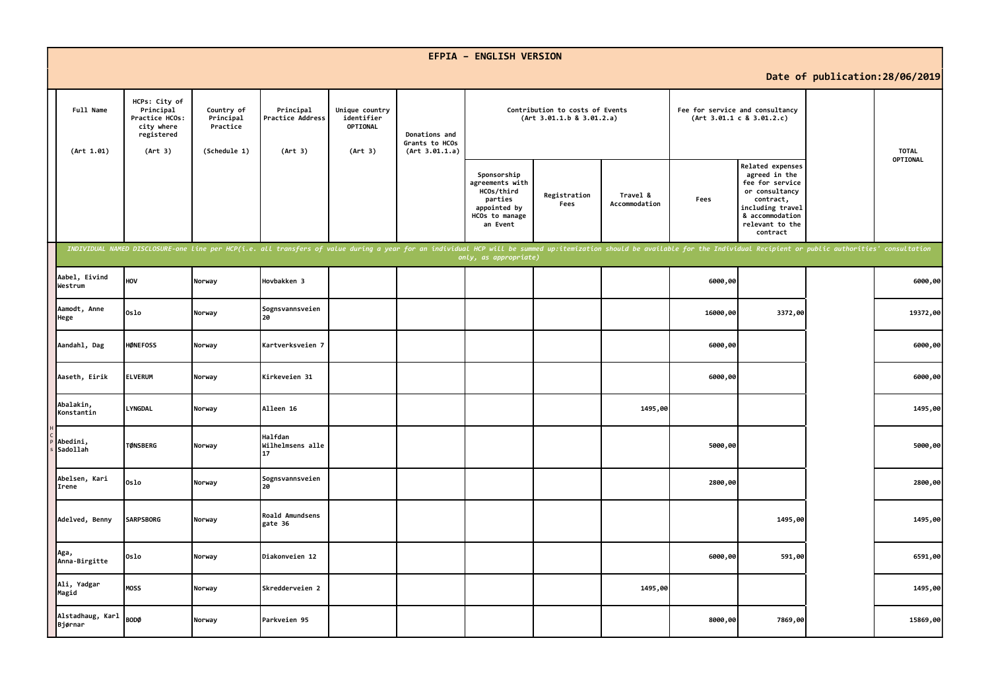|                             |                                                                                     |                                                     |                                                                                                                                                                                                                                |                                                     |                                                   | <b>EFPIA - ENGLISH VERSION</b>                                                                        |                                                              |                           |          |                                                                                                                                                           |                                 |              |
|-----------------------------|-------------------------------------------------------------------------------------|-----------------------------------------------------|--------------------------------------------------------------------------------------------------------------------------------------------------------------------------------------------------------------------------------|-----------------------------------------------------|---------------------------------------------------|-------------------------------------------------------------------------------------------------------|--------------------------------------------------------------|---------------------------|----------|-----------------------------------------------------------------------------------------------------------------------------------------------------------|---------------------------------|--------------|
|                             |                                                                                     |                                                     |                                                                                                                                                                                                                                |                                                     |                                                   |                                                                                                       |                                                              |                           |          |                                                                                                                                                           | Date of publication: 28/06/2019 |              |
| Full Name<br>(Art 1.01)     | HCPs: City of<br>Principal<br>Practice HCOs:<br>city where<br>registered<br>(Art 3) | Country of<br>Principal<br>Practice<br>(Schedule 1) | Principal<br>Practice Address<br>(Art 3)                                                                                                                                                                                       | Unique country<br>identifier<br>OPTIONAL<br>(Art 3) | Donations and<br>Grants to HCOs<br>(Art 3.01.1.a) |                                                                                                       | Contribution to costs of Events<br>(Art 3.01.1.b 8 3.01.2.a) |                           |          | Fee for service and consultancy<br>(Art 3.01.1 c 8 3.01.2.c)                                                                                              |                                 | <b>TOTAL</b> |
|                             |                                                                                     |                                                     |                                                                                                                                                                                                                                |                                                     |                                                   | Sponsorship<br>agreements with<br>HCOs/third<br>parties<br>appointed by<br>HCOs to manage<br>an Event | Registration<br>Fees                                         | Travel &<br>Accommodation | Fees     | Related expenses<br>agreed in the<br>fee for service<br>or consultancy<br>contract,<br>including travel<br>& accommodation<br>relevant to the<br>contract |                                 | OPTIONAL     |
|                             |                                                                                     |                                                     | INDIVIDUAL NAMED DISCLOSURE-one line per HCP(i.e. all transfers of value during a year for an individual HCP will be summed up:itemization should be available for the Individual Recipient or public authorities' consultatio |                                                     |                                                   | only, as appropriate)                                                                                 |                                                              |                           |          |                                                                                                                                                           |                                 |              |
| Aabel, Eivind<br>Westrum    | HOV                                                                                 | Norway                                              | Hovbakken 3                                                                                                                                                                                                                    |                                                     |                                                   |                                                                                                       |                                                              |                           | 6000,00  |                                                                                                                                                           |                                 | 6000,00      |
| Aamodt, Anne<br>Hege        | 0slo                                                                                | Norway                                              | Sognsvannsveien<br>20                                                                                                                                                                                                          |                                                     |                                                   |                                                                                                       |                                                              |                           | 16000,00 | 3372,00                                                                                                                                                   |                                 | 19372,00     |
| Aandahl, Dag                | <b>HØNEFOSS</b>                                                                     | Norway                                              | Kartverksveien 7                                                                                                                                                                                                               |                                                     |                                                   |                                                                                                       |                                                              |                           | 6000,00  |                                                                                                                                                           |                                 | 6000,00      |
| Aaseth, Eirik               | <b>ELVERUM</b>                                                                      | Norway                                              | Kirkeveien 31                                                                                                                                                                                                                  |                                                     |                                                   |                                                                                                       |                                                              |                           | 6000,00  |                                                                                                                                                           |                                 | 6000,00      |
| Abalakin,<br>Konstantin     | <b>LYNGDAL</b>                                                                      | Norway                                              | Alleen 16                                                                                                                                                                                                                      |                                                     |                                                   |                                                                                                       |                                                              | 1495,00                   |          |                                                                                                                                                           |                                 | 1495,00      |
| Abedini,<br>Sadollah        | <b>TØNSBERG</b>                                                                     | Norway                                              | <b>Halfdan</b><br>Wilhelmsens alle<br>17                                                                                                                                                                                       |                                                     |                                                   |                                                                                                       |                                                              |                           | 5000,00  |                                                                                                                                                           |                                 | 5000,00      |
| Abelsen, Kari<br>Irene      | Oslo                                                                                | Norway                                              | Sognsvannsveien<br>20                                                                                                                                                                                                          |                                                     |                                                   |                                                                                                       |                                                              |                           | 2800,00  |                                                                                                                                                           |                                 | 2800,00      |
| Adelved, Benny              | <b>SARPSBORG</b>                                                                    | Norway                                              | Roald Amundsens<br>gate 36                                                                                                                                                                                                     |                                                     |                                                   |                                                                                                       |                                                              |                           |          | 1495,00                                                                                                                                                   |                                 | 1495,00      |
| Aga,<br>Anna-Birgitte       | 0slo                                                                                | Norway                                              | Diakonveien 12                                                                                                                                                                                                                 |                                                     |                                                   |                                                                                                       |                                                              |                           | 6000,00  | 591,00                                                                                                                                                    |                                 | 6591,00      |
| Ali, Yadgar<br>Magid        | <b>MOSS</b>                                                                         | Norway                                              | Skredderveien 2                                                                                                                                                                                                                |                                                     |                                                   |                                                                                                       |                                                              | 1495,00                   |          |                                                                                                                                                           |                                 | 1495,00      |
| Alstadhaug, Karl<br>Bjørnar | <b>BODØ</b>                                                                         | Norway                                              | Parkveien 95                                                                                                                                                                                                                   |                                                     |                                                   |                                                                                                       |                                                              |                           | 8000,00  | 7869,00                                                                                                                                                   |                                 | 15869,00     |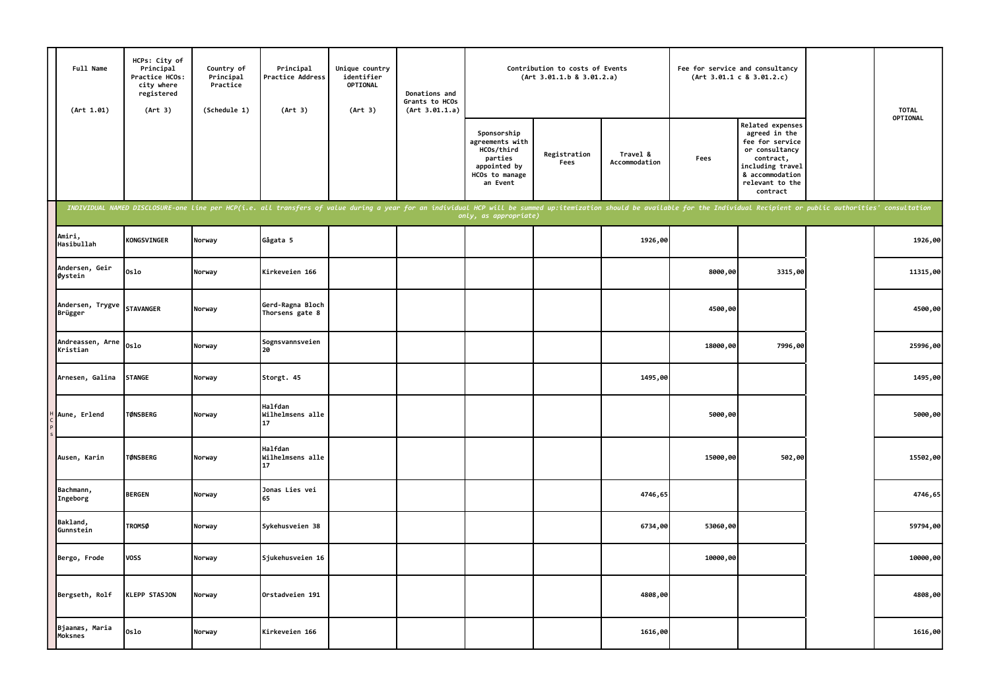| Full Name<br>(Art 1.01)      | HCPs: City of<br>Principal<br>Practice HCOs:<br>city where<br>registered<br>(Art 3) | Country of<br>Principal<br>Practice<br>(Schedule 1) | Principal<br>Practice Address<br>(Art 3)                                                                                                                                                                                       | Unique country<br>identifier<br>OPTIONAL<br>(Art 3) | Donations and<br>Grants to HCOs<br>(Art 3.01.1.a) |                                                                                                       | Contribution to costs of Events<br>(Art 3.01.1.b 8 3.01.2.a) |                           | Fee for service and consultancy | (Art 3.01.1 c 8 3.01.2.c)                                                                                                                                 | <b>TOTAL</b> |
|------------------------------|-------------------------------------------------------------------------------------|-----------------------------------------------------|--------------------------------------------------------------------------------------------------------------------------------------------------------------------------------------------------------------------------------|-----------------------------------------------------|---------------------------------------------------|-------------------------------------------------------------------------------------------------------|--------------------------------------------------------------|---------------------------|---------------------------------|-----------------------------------------------------------------------------------------------------------------------------------------------------------|--------------|
|                              |                                                                                     |                                                     |                                                                                                                                                                                                                                |                                                     |                                                   | Sponsorship<br>agreements with<br>HCOs/third<br>parties<br>appointed by<br>HCOs to manage<br>an Event | Registration<br>Fees                                         | Travel &<br>Accommodation | Fees                            | Related expenses<br>agreed in the<br>fee for service<br>or consultancy<br>contract,<br>including travel<br>& accommodation<br>relevant to the<br>contract | OPTIONAL     |
|                              |                                                                                     |                                                     | INDIVIDUAL NAMED DISCLOSURE-one line per HCP(i.e. all transfers of value during a year for an individual HCP will be summed up:itemization should be available for the Individual Recipient or public authorities' consultatio |                                                     |                                                   | only, as appropriate)                                                                                 |                                                              |                           |                                 |                                                                                                                                                           |              |
| Amiri,<br>Hasibullah         | <b>KONGSVINGER</b>                                                                  | Norway                                              | Gågata 5                                                                                                                                                                                                                       |                                                     |                                                   |                                                                                                       |                                                              | 1926,00                   |                                 |                                                                                                                                                           | 1926,00      |
| Andersen, Geir<br>Øystein    | 0slo                                                                                | Norway                                              | Kirkeveien 166                                                                                                                                                                                                                 |                                                     |                                                   |                                                                                                       |                                                              |                           | 8000,00                         | 3315,00                                                                                                                                                   | 11315,00     |
| Andersen, Trygve<br>Brügger  | <b>STAVANGER</b>                                                                    | Norway                                              | Gerd-Ragna Bloch<br>Thorsens gate 8                                                                                                                                                                                            |                                                     |                                                   |                                                                                                       |                                                              |                           | 4500,00                         |                                                                                                                                                           | 4500,00      |
| Andreassen, Arne<br>Kristian | 0slo                                                                                | Norway                                              | Sognsvannsveien<br>20                                                                                                                                                                                                          |                                                     |                                                   |                                                                                                       |                                                              |                           | 18000,00                        | 7996,00                                                                                                                                                   | 25996,00     |
| Arnesen, Galina              | <b>STANGE</b>                                                                       | Norway                                              | Storgt. 45                                                                                                                                                                                                                     |                                                     |                                                   |                                                                                                       |                                                              | 1495,00                   |                                 |                                                                                                                                                           | 1495,00      |
| Aune, Erlend                 | <b>TØNSBERG</b>                                                                     | Norway                                              | Halfdan<br>Wilhelmsens alle<br>17                                                                                                                                                                                              |                                                     |                                                   |                                                                                                       |                                                              |                           | 5000,00                         |                                                                                                                                                           | 5000,00      |
| Ausen, Karin                 | <b>TØNSBERG</b>                                                                     | Norway                                              | <b>Halfdan</b><br>Wilhelmsens alle<br>17                                                                                                                                                                                       |                                                     |                                                   |                                                                                                       |                                                              |                           | 15000,00                        | 502,00                                                                                                                                                    | 15502,00     |
| Bachmann,<br>Ingeborg        | <b>BERGEN</b>                                                                       | Norway                                              | Jonas Lies vei<br>65                                                                                                                                                                                                           |                                                     |                                                   |                                                                                                       |                                                              | 4746,65                   |                                 |                                                                                                                                                           | 4746,65      |
| Bakland,<br>Gunnstein        | <b>TROMSØ</b>                                                                       | Norway                                              | Sykehusveien 38                                                                                                                                                                                                                |                                                     |                                                   |                                                                                                       |                                                              | 6734,00                   | 53060,00                        |                                                                                                                                                           | 59794,00     |
| Bergo, Frode                 | <b>VOSS</b>                                                                         | Norway                                              | Sjukehusveien 16                                                                                                                                                                                                               |                                                     |                                                   |                                                                                                       |                                                              |                           | 10000,00                        |                                                                                                                                                           | 10000,00     |
| Bergseth, Rolf               | <b>KLEPP STASJON</b>                                                                | Norway                                              | Orstadveien 191                                                                                                                                                                                                                |                                                     |                                                   |                                                                                                       |                                                              | 4808,00                   |                                 |                                                                                                                                                           | 4808,00      |
| Bjaanæs, Maria<br>Moksnes    | Oslo                                                                                | Norway                                              | Kirkeveien 166                                                                                                                                                                                                                 |                                                     |                                                   |                                                                                                       |                                                              | 1616,00                   |                                 |                                                                                                                                                           | 1616,00      |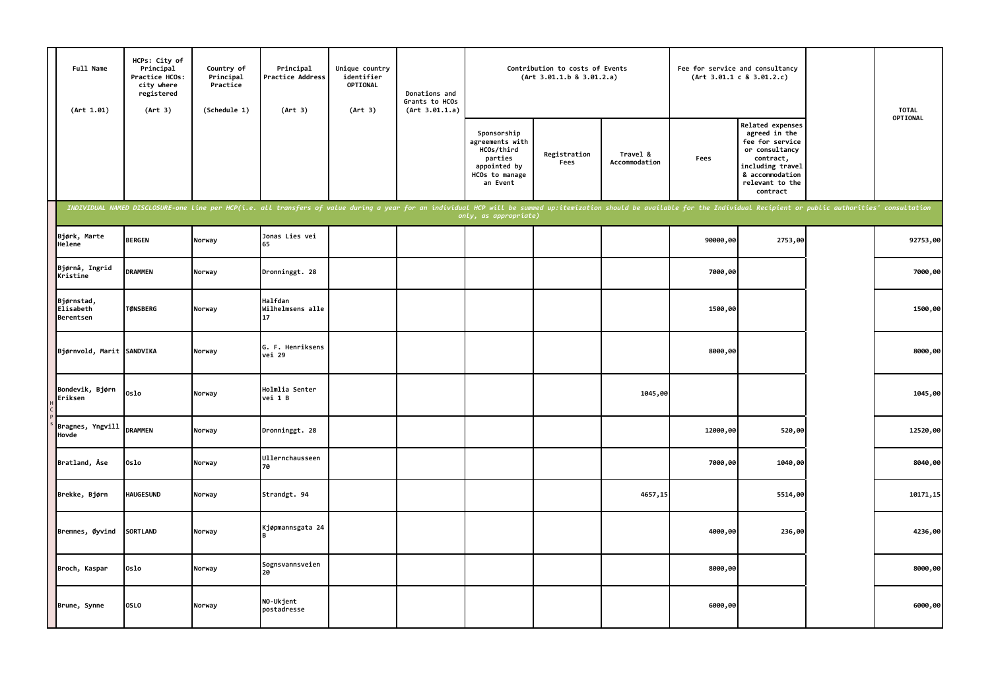| Full Name<br>(Art 1.01)              | HCPs: City of<br>Principal<br>Practice HCOs:<br>city where<br>registered<br>(Art 3) | Country of<br>Principal<br>Practice<br>(Schedule 1) | Principal<br>Practice Address<br>(Art 3)                                                                                                                                                                                       | Unique country<br>identifier<br>OPTIONAL<br>(Art 3) | Donations and<br>Grants to HCOs<br>(Art 3.01.1.a) |                                                                                                       | Contribution to costs of Events<br>(Art 3.01.1.b 8 3.01.2.a) |                           |          | Fee for service and consultancy<br>(Art 3.01.1 c 8 3.01.2.c)                                                                                              | <b>TOTAL</b> |
|--------------------------------------|-------------------------------------------------------------------------------------|-----------------------------------------------------|--------------------------------------------------------------------------------------------------------------------------------------------------------------------------------------------------------------------------------|-----------------------------------------------------|---------------------------------------------------|-------------------------------------------------------------------------------------------------------|--------------------------------------------------------------|---------------------------|----------|-----------------------------------------------------------------------------------------------------------------------------------------------------------|--------------|
|                                      |                                                                                     |                                                     |                                                                                                                                                                                                                                |                                                     |                                                   | Sponsorship<br>agreements with<br>HCOs/third<br>parties<br>appointed by<br>HCOs to manage<br>an Event | Registration<br>Fees                                         | Travel &<br>Accommodation | Fees     | Related expenses<br>agreed in the<br>fee for service<br>or consultancy<br>contract,<br>including travel<br>& accommodation<br>relevant to the<br>contract | OPTIONAL     |
|                                      |                                                                                     |                                                     | INDIVIDUAL NAMED DISCLOSURE-one line per HCP(i.e. all transfers of value during a year for an individual HCP will be summed up:itemization should be available for the Individual Recipient or public authorities' consultatio |                                                     |                                                   | only, as appropriate)                                                                                 |                                                              |                           |          |                                                                                                                                                           |              |
| Bjørk, Marte<br>Helene               | <b>BERGEN</b>                                                                       | Norway                                              | Jonas Lies vei<br>65                                                                                                                                                                                                           |                                                     |                                                   |                                                                                                       |                                                              |                           | 90000,00 | 2753,00                                                                                                                                                   | 92753,00     |
| Bjørnå, Ingrid<br>Kristine           | <b>DRAMMEN</b>                                                                      | Norway                                              | Dronninggt. 28                                                                                                                                                                                                                 |                                                     |                                                   |                                                                                                       |                                                              |                           | 7000,00  |                                                                                                                                                           | 7000,00      |
| Bjørnstad,<br>Elisabeth<br>Berentsen | <b>TØNSBERG</b>                                                                     | Norway                                              | Halfdan<br>Wilhelmsens alle<br>17                                                                                                                                                                                              |                                                     |                                                   |                                                                                                       |                                                              |                           | 1500,00  |                                                                                                                                                           | 1500,00      |
| Bjørnvold, Marit SANDVIKA            |                                                                                     | Norway                                              | G. F. Henriksens<br>vei 29                                                                                                                                                                                                     |                                                     |                                                   |                                                                                                       |                                                              |                           | 8000,00  |                                                                                                                                                           | 8000,00      |
| Bondevik, Bjørn<br>Eriksen           | Oslo                                                                                | Norway                                              | Holmlia Senter<br>vei 1 B                                                                                                                                                                                                      |                                                     |                                                   |                                                                                                       |                                                              | 1045,00                   |          |                                                                                                                                                           | 1045,00      |
| Bragnes, Yngvill<br>Hovde            | <b>DRAMMEN</b>                                                                      | Norway                                              | Dronninggt. 28                                                                                                                                                                                                                 |                                                     |                                                   |                                                                                                       |                                                              |                           | 12000,00 | 520,00                                                                                                                                                    | 12520,00     |
| Bratland, Åse                        | 0slo                                                                                | Norway                                              | Ullernchausseen<br>70                                                                                                                                                                                                          |                                                     |                                                   |                                                                                                       |                                                              |                           | 7000,00  | 1040,00                                                                                                                                                   | 8040,00      |
| Brekke, Bjørn                        | <b>HAUGESUND</b>                                                                    | Norway                                              | Strandgt. 94                                                                                                                                                                                                                   |                                                     |                                                   |                                                                                                       |                                                              | 4657,15                   |          | 5514,00                                                                                                                                                   | 10171,15     |
| Bremnes, Øyvind                      | SORTLAND                                                                            | Norway                                              | Kjøpmannsgata 24                                                                                                                                                                                                               |                                                     |                                                   |                                                                                                       |                                                              |                           | 4000,00  | 236,00                                                                                                                                                    | 4236,00      |
| Broch, Kaspar                        | 0slo                                                                                | Norway                                              | Sognsvannsveien<br>20                                                                                                                                                                                                          |                                                     |                                                   |                                                                                                       |                                                              |                           | 8000,00  |                                                                                                                                                           | 8000,00      |
| Brune, Synne                         | <b>OSLO</b>                                                                         | Norway                                              | NO-Ukjent<br>postadresse                                                                                                                                                                                                       |                                                     |                                                   |                                                                                                       |                                                              |                           | 6000,00  |                                                                                                                                                           | 6000,00      |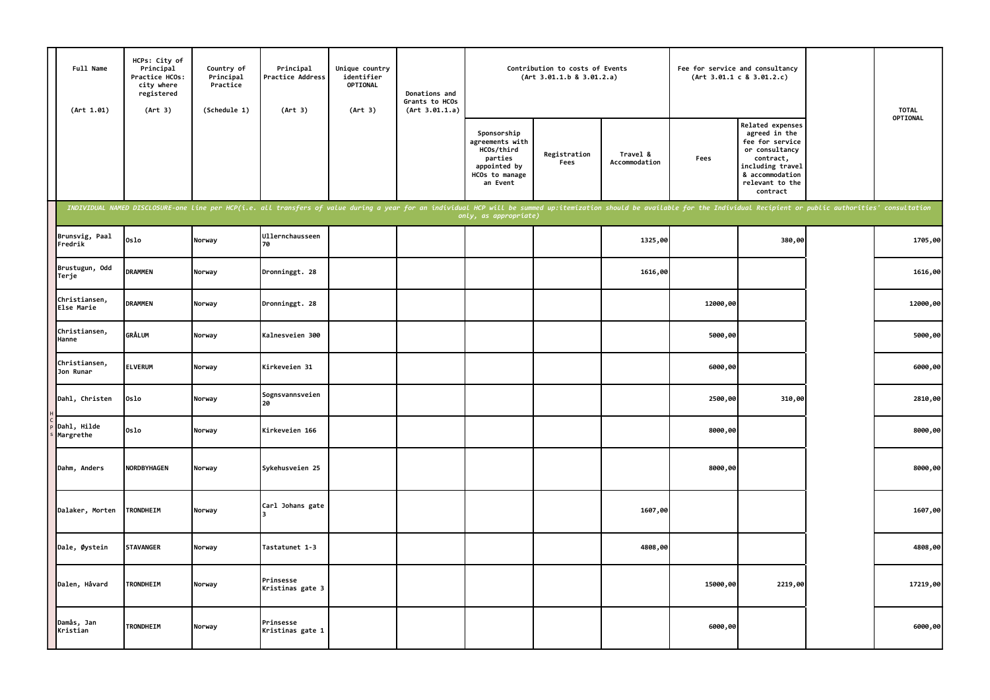| Full Name<br>(Art 1.01)     | HCPs: City of<br>Principal<br>Practice HCOs:<br>city where<br>registered<br>(Art 3) | Country of<br>Principal<br>Practice<br>(Schedule 1) | Principal<br>Practice Address<br>(Art 3)                                                                                                                                                                                       | Unique country<br>identifier<br><b>OPTIONAL</b><br>(Art 3) | Donations and<br>Grants to HCOs<br>(Art 3.01.1.a) |                                                                                                       | Contribution to costs of Events<br>(Art 3.01.1.b 8 3.01.2.a) |                           |          | Fee for service and consultancy<br>(Art 3.01.1 c 8 3.01.2.c)                                                                                                     | <b>TOTAL</b> |
|-----------------------------|-------------------------------------------------------------------------------------|-----------------------------------------------------|--------------------------------------------------------------------------------------------------------------------------------------------------------------------------------------------------------------------------------|------------------------------------------------------------|---------------------------------------------------|-------------------------------------------------------------------------------------------------------|--------------------------------------------------------------|---------------------------|----------|------------------------------------------------------------------------------------------------------------------------------------------------------------------|--------------|
|                             |                                                                                     |                                                     |                                                                                                                                                                                                                                |                                                            |                                                   | Sponsorship<br>agreements with<br>HCOs/third<br>parties<br>appointed by<br>HCOs to manage<br>an Event | Registration<br>Fees                                         | Travel &<br>Accommodation | Fees     | <b>Related expenses</b><br>agreed in the<br>fee for service<br>or consultancy<br>contract,<br>including travel<br>& accommodation<br>relevant to the<br>contract | OPTIONAL     |
|                             |                                                                                     |                                                     | INDIVIDUAL NAMED DISCLOSURE-one line per HCP(i.e. all transfers of value during a year for an individual HCP will be summed up:itemization should be available for the Individual Recipient or public authorities' consultatio |                                                            |                                                   | only, as appropriate)                                                                                 |                                                              |                           |          |                                                                                                                                                                  |              |
| Brunsvig, Paal<br>Fredrik   | Oslo                                                                                | Norway                                              | Ullernchausseen<br>70                                                                                                                                                                                                          |                                                            |                                                   |                                                                                                       |                                                              | 1325,00                   |          | 380,00                                                                                                                                                           | 1705,00      |
| Brustugun, Odd<br>Terje     | <b>DRAMMEN</b>                                                                      | Norway                                              | Dronninggt. 28                                                                                                                                                                                                                 |                                                            |                                                   |                                                                                                       |                                                              | 1616,00                   |          |                                                                                                                                                                  | 1616,00      |
| Christiansen,<br>Else Marie | <b>DRAMMEN</b>                                                                      | Norway                                              | Dronninggt. 28                                                                                                                                                                                                                 |                                                            |                                                   |                                                                                                       |                                                              |                           | 12000,00 |                                                                                                                                                                  | 12000,00     |
| Christiansen,<br>Hanne      | <b>GRÅLUM</b>                                                                       | Norway                                              | Kalnesveien 300                                                                                                                                                                                                                |                                                            |                                                   |                                                                                                       |                                                              |                           | 5000,00  |                                                                                                                                                                  | 5000,00      |
| Christiansen,<br>Jon Runar  | <b>ELVERUM</b>                                                                      | Norway                                              | Kirkeveien 31                                                                                                                                                                                                                  |                                                            |                                                   |                                                                                                       |                                                              |                           | 6000,00  |                                                                                                                                                                  | 6000,00      |
| Dahl, Christen              | 0slo                                                                                | Norway                                              | Sognsvannsveien<br>20                                                                                                                                                                                                          |                                                            |                                                   |                                                                                                       |                                                              |                           | 2500,00  | 310,00                                                                                                                                                           | 2810,00      |
| Dahl, Hilde<br>Margrethe    | 0slo                                                                                | Norway                                              | Kirkeveien 166                                                                                                                                                                                                                 |                                                            |                                                   |                                                                                                       |                                                              |                           | 8000,00  |                                                                                                                                                                  | 8000,00      |
| Dahm, Anders                | <b>NORDBYHAGEN</b>                                                                  | Norway                                              | Sykehusveien 25                                                                                                                                                                                                                |                                                            |                                                   |                                                                                                       |                                                              |                           | 8000,00  |                                                                                                                                                                  | 8000,00      |
| Dalaker, Morten             | TRONDHEIM                                                                           | Norway                                              | Carl Johans gate                                                                                                                                                                                                               |                                                            |                                                   |                                                                                                       |                                                              | 1607,00                   |          |                                                                                                                                                                  | 1607,00      |
| Dale, Øystein               | <b>STAVANGER</b>                                                                    | Norway                                              | Tastatunet 1-3                                                                                                                                                                                                                 |                                                            |                                                   |                                                                                                       |                                                              | 4808,00                   |          |                                                                                                                                                                  | 4808,00      |
| Dalen, Håvard               | TRONDHEIM                                                                           | Norway                                              | Prinsesse<br>Kristinas gate 3                                                                                                                                                                                                  |                                                            |                                                   |                                                                                                       |                                                              |                           | 15000,00 | 2219,00                                                                                                                                                          | 17219,00     |
| Damås, Jan<br>Kristian      | TRONDHEIM                                                                           | Norway                                              | Prinsesse<br>Kristinas gate 1                                                                                                                                                                                                  |                                                            |                                                   |                                                                                                       |                                                              |                           | 6000,00  |                                                                                                                                                                  | 6000,00      |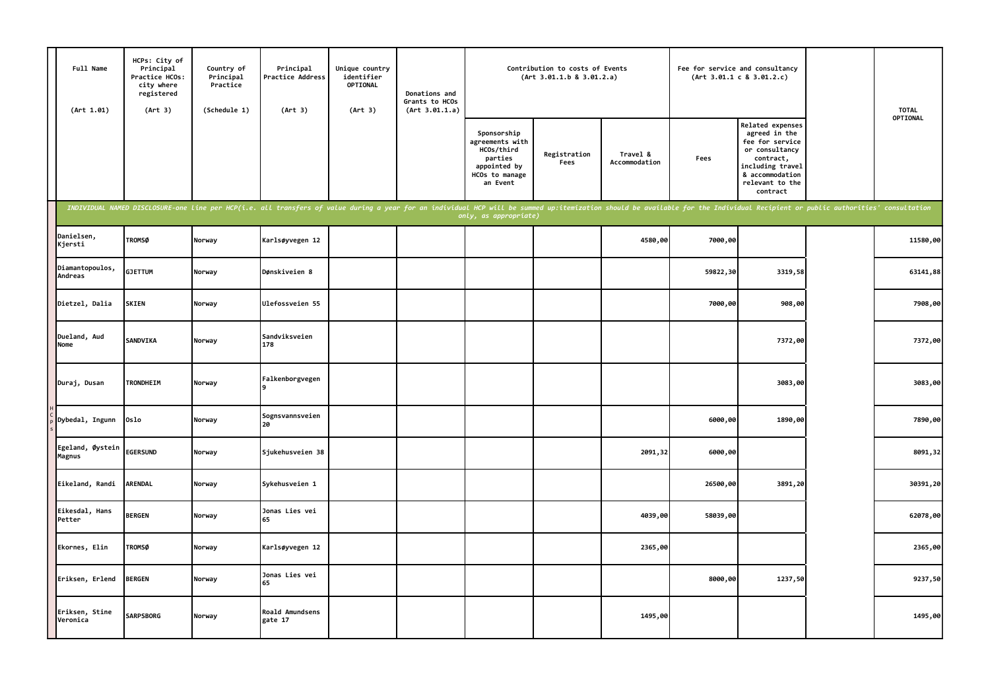| Full Name<br>(Art 1.01)    | HCPs: City of<br>Principal<br>Practice HCOs:<br>city where<br>registered<br>(Art 3) | Country of<br>Principal<br>Practice<br>(Schedule 1) | Principal<br>Practice Address<br>(Art 3)                                                                                                                                                                                       | Unique country<br>identifier<br>OPTIONAL<br>(Art 3) | Donations and<br>Grants to HCOs<br>(Art 3.01.1.a) |                                                                                                       | Contribution to costs of Events<br>(Art 3.01.1.b 8 3.01.2.a) |                           |          | Fee for service and consultancy<br>(Art 3.01.1 c 8 3.01.2.c)                                                                                              | <b>TOTAL</b> |
|----------------------------|-------------------------------------------------------------------------------------|-----------------------------------------------------|--------------------------------------------------------------------------------------------------------------------------------------------------------------------------------------------------------------------------------|-----------------------------------------------------|---------------------------------------------------|-------------------------------------------------------------------------------------------------------|--------------------------------------------------------------|---------------------------|----------|-----------------------------------------------------------------------------------------------------------------------------------------------------------|--------------|
|                            |                                                                                     |                                                     |                                                                                                                                                                                                                                |                                                     |                                                   | Sponsorship<br>agreements with<br>HCOs/third<br>parties<br>appointed by<br>HCOs to manage<br>an Event | Registration<br>Fees                                         | Travel &<br>Accommodation | Fees     | Related expenses<br>agreed in the<br>fee for service<br>or consultancy<br>contract,<br>including travel<br>& accommodation<br>relevant to the<br>contract | OPTIONAL     |
|                            |                                                                                     |                                                     | INDIVIDUAL NAMED DISCLOSURE-one line per HCP(i.e. all transfers of value during a year for an individual HCP will be summed up:itemization should be available for the Individual Recipient or public authorities' consultatio |                                                     |                                                   | only, as appropriate)                                                                                 |                                                              |                           |          |                                                                                                                                                           |              |
| Danielsen,<br>Kjersti      | <b>TROMSØ</b>                                                                       | Norway                                              | Karlsøyvegen 12                                                                                                                                                                                                                |                                                     |                                                   |                                                                                                       |                                                              | 4580,00                   | 7000,00  |                                                                                                                                                           | 11580,00     |
| Diamantopoulos,<br>Andreas | <b>GJETTUM</b>                                                                      | Norway                                              | Dønskiveien 8                                                                                                                                                                                                                  |                                                     |                                                   |                                                                                                       |                                                              |                           | 59822,30 | 3319,58                                                                                                                                                   | 63141,88     |
| Dietzel, Dalia             | <b>SKIEN</b>                                                                        | Norway                                              | Ulefossveien 55                                                                                                                                                                                                                |                                                     |                                                   |                                                                                                       |                                                              |                           | 7000,00  | 908,00                                                                                                                                                    | 7908,00      |
| Dueland, Aud<br>Nome       | <b>SANDVIKA</b>                                                                     | Norway                                              | Sandviksveien<br>178                                                                                                                                                                                                           |                                                     |                                                   |                                                                                                       |                                                              |                           |          | 7372,00                                                                                                                                                   | 7372,00      |
| Duraj, Dusan               | <b>TRONDHEIM</b>                                                                    | Norway                                              | Falkenborgvegen                                                                                                                                                                                                                |                                                     |                                                   |                                                                                                       |                                                              |                           |          | 3083,00                                                                                                                                                   | 3083,00      |
| Dybedal, Ingunn            | Oslo                                                                                | Norway                                              | Sognsvannsveien<br>20                                                                                                                                                                                                          |                                                     |                                                   |                                                                                                       |                                                              |                           | 6000,00  | 1890,00                                                                                                                                                   | 7890,00      |
| Egeland, Øystein<br>Magnus | <b>EGERSUND</b>                                                                     | Norway                                              | Sjukehusveien 38                                                                                                                                                                                                               |                                                     |                                                   |                                                                                                       |                                                              | 2091,32                   | 6000,00  |                                                                                                                                                           | 8091,32      |
| Eikeland, Randi            | ARENDAL                                                                             | Norway                                              | Sykehusveien 1                                                                                                                                                                                                                 |                                                     |                                                   |                                                                                                       |                                                              |                           | 26500,00 | 3891,20                                                                                                                                                   | 30391,20     |
| Eikesdal, Hans<br>Petter   | <b>BERGEN</b>                                                                       | Norway                                              | Jonas Lies vei<br>65                                                                                                                                                                                                           |                                                     |                                                   |                                                                                                       |                                                              | 4039,00                   | 58039,00 |                                                                                                                                                           | 62078,00     |
| Ekornes, Elin              | <b>TROMSØ</b>                                                                       | Norway                                              | Karlsøyvegen 12                                                                                                                                                                                                                |                                                     |                                                   |                                                                                                       |                                                              | 2365,00                   |          |                                                                                                                                                           | 2365,00      |
| Eriksen, Erlend            | <b>BERGEN</b>                                                                       | Norway                                              | Jonas Lies vei<br>65                                                                                                                                                                                                           |                                                     |                                                   |                                                                                                       |                                                              |                           | 8000,00  | 1237,50                                                                                                                                                   | 9237,50      |
| Eriksen, Stine<br>Veronica | <b>SARPSBORG</b>                                                                    | Norway                                              | Roald Amundsens<br>gate 17                                                                                                                                                                                                     |                                                     |                                                   |                                                                                                       |                                                              | 1495,00                   |          |                                                                                                                                                           | 1495,00      |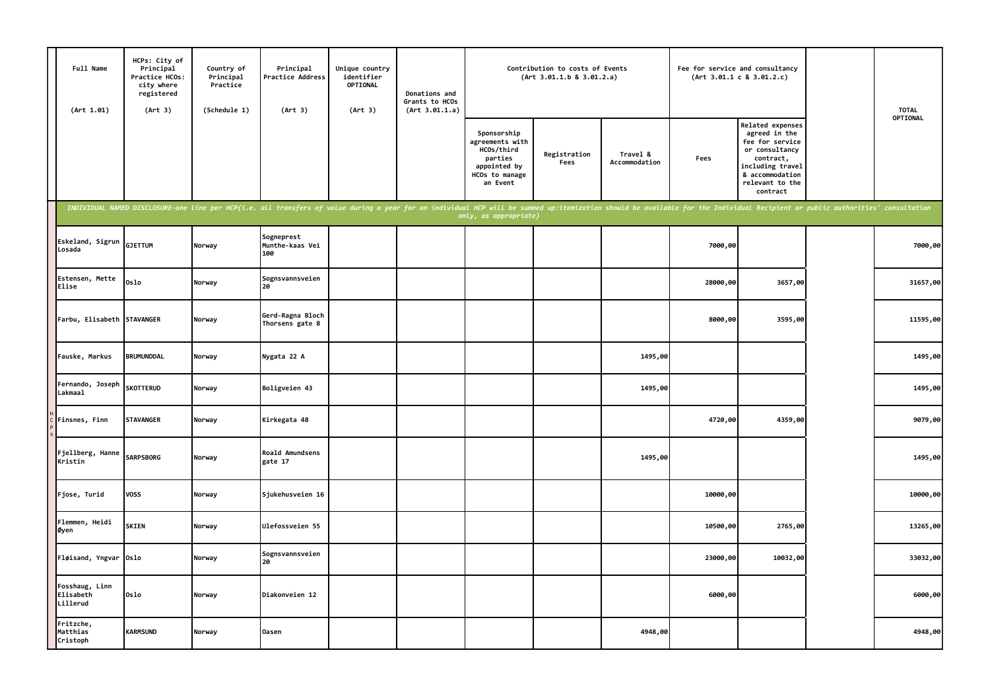| Full Name<br>(Art 1.01)                 | HCPs: City of<br>Principal<br>Practice HCOs:<br>city where<br>registered<br>(Art 3) | Country of<br>Principal<br>Practice<br>(Schedule 1) | Principal<br>Practice Address<br>(Art 3)                                                                                                                                                                                       | Unique country<br>identifier<br>OPTIONAL<br>(Art 3) | Donations and<br>Grants to HCOs<br>(Art 3.01.1.a) |                                                                                                       | Contribution to costs of Events<br>(Art 3.01.1.b 8 3.01.2.a) |                           | Fee for service and consultancy | (Art 3.01.1 c 8 3.01.2.c)                                                                                                                                 | <b>TOTAL</b> |
|-----------------------------------------|-------------------------------------------------------------------------------------|-----------------------------------------------------|--------------------------------------------------------------------------------------------------------------------------------------------------------------------------------------------------------------------------------|-----------------------------------------------------|---------------------------------------------------|-------------------------------------------------------------------------------------------------------|--------------------------------------------------------------|---------------------------|---------------------------------|-----------------------------------------------------------------------------------------------------------------------------------------------------------|--------------|
|                                         |                                                                                     |                                                     |                                                                                                                                                                                                                                |                                                     |                                                   | Sponsorship<br>agreements with<br>HCOs/third<br>parties<br>appointed by<br>HCOs to manage<br>an Event | Registration<br>Fees                                         | Travel &<br>Accommodation | Fees                            | Related expenses<br>agreed in the<br>fee for service<br>or consultancy<br>contract,<br>including travel<br>& accommodation<br>relevant to the<br>contract | OPTIONAL     |
|                                         |                                                                                     |                                                     | INDIVIDUAL NAMED DISCLOSURE-one line per HCP(i.e. all transfers of value during a year for an individual HCP will be summed up:itemization should be available for the Individual Recipient or public authorities' consultatio |                                                     |                                                   | only, as appropriate)                                                                                 |                                                              |                           |                                 |                                                                                                                                                           |              |
| Eskeland, Sigrun<br>Losada              | <b>GJETTUM</b>                                                                      | Norway                                              | Sogneprest<br>Munthe-kaas Vei<br>100                                                                                                                                                                                           |                                                     |                                                   |                                                                                                       |                                                              |                           | 7000,00                         |                                                                                                                                                           | 7000,00      |
| Estensen, Mette<br>Elise                | Oslo                                                                                | Norway                                              | Sognsvannsveien<br>20                                                                                                                                                                                                          |                                                     |                                                   |                                                                                                       |                                                              |                           | 28000,00                        | 3657,00                                                                                                                                                   | 31657,00     |
| Farbu, Elisabeth STAVANGER              |                                                                                     | Norway                                              | Gerd-Ragna Bloch<br>Thorsens gate 8                                                                                                                                                                                            |                                                     |                                                   |                                                                                                       |                                                              |                           | 8000,00                         | 3595,00                                                                                                                                                   | 11595,00     |
| Fauske, Markus                          | <b>BRUMUNDDAL</b>                                                                   | Norway                                              | Nygata 22 A                                                                                                                                                                                                                    |                                                     |                                                   |                                                                                                       |                                                              | 1495,00                   |                                 |                                                                                                                                                           | 1495,00      |
| Fernando, Joseph<br>Lakmaal             | <b>SKOTTERUD</b>                                                                    | Norway                                              | Boligveien 43                                                                                                                                                                                                                  |                                                     |                                                   |                                                                                                       |                                                              | 1495,00                   |                                 |                                                                                                                                                           | 1495,00      |
| Finsnes, Finn                           | <b>STAVANGER</b>                                                                    | Norway                                              | Kirkegata 48                                                                                                                                                                                                                   |                                                     |                                                   |                                                                                                       |                                                              |                           | 4720,00                         | 4359,00                                                                                                                                                   | 9079,00      |
| Fjellberg, Hanne<br>Kristin             | <b>SARPSBORG</b>                                                                    | Norway                                              | Roald Amundsens<br>gate 17                                                                                                                                                                                                     |                                                     |                                                   |                                                                                                       |                                                              | 1495,00                   |                                 |                                                                                                                                                           | 1495,00      |
| Fjose, Turid                            | <b>VOSS</b>                                                                         | Norway                                              | Sjukehusveien 16                                                                                                                                                                                                               |                                                     |                                                   |                                                                                                       |                                                              |                           | 10000,00                        |                                                                                                                                                           | 10000,00     |
| Flemmen, Heidi<br>Øyen                  | <b>SKIEN</b>                                                                        | Norway                                              | Ulefossveien 55                                                                                                                                                                                                                |                                                     |                                                   |                                                                                                       |                                                              |                           | 10500,00                        | 2765,00                                                                                                                                                   | 13265,00     |
| Fløisand, Yngvar Oslo                   |                                                                                     | Norway                                              | Sognsvannsveien<br>20                                                                                                                                                                                                          |                                                     |                                                   |                                                                                                       |                                                              |                           | 23000,00                        | 10032,00                                                                                                                                                  | 33032,00     |
| Fosshaug, Linn<br>Elisabeth<br>Lillerud | 0slo                                                                                | Norway                                              | Diakonveien 12                                                                                                                                                                                                                 |                                                     |                                                   |                                                                                                       |                                                              |                           | 6000,00                         |                                                                                                                                                           | 6000,00      |
| Fritzche,<br>Matthias<br>Cristoph       | <b>KARMSUND</b>                                                                     | Norway                                              | <b>Oasen</b>                                                                                                                                                                                                                   |                                                     |                                                   |                                                                                                       |                                                              | 4948,00                   |                                 |                                                                                                                                                           | 4948,00      |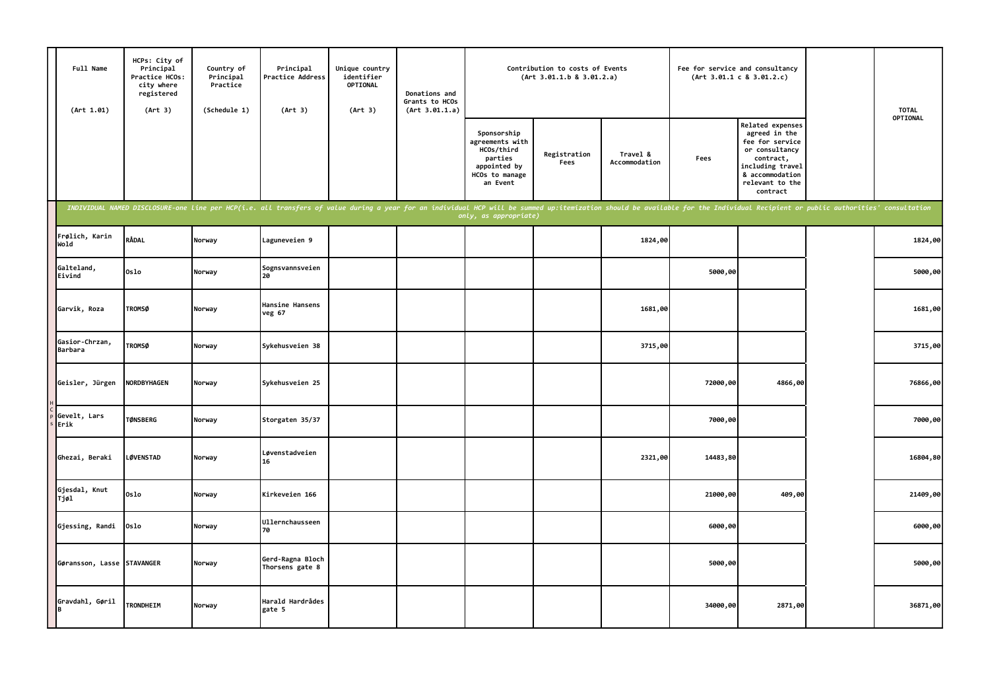| Full Name<br>(Art 1.01)    | HCPs: City of<br>Principal<br>Practice HCOs:<br>city where<br>registered<br>(Art 3) | Country of<br>Principal<br>Practice<br>(Schedule 1) | Principal<br>Practice Address<br>(Art 3)                                                                                                                                                                                       | Unique country<br>identifier<br>OPTIONAL<br>(Art 3) | Donations and<br>Grants to HCOs<br>(Art 3.01.1.a) |                                                                                                       | Contribution to costs of Events<br>(Art 3.01.1.b 8 3.01.2.a) |                           |          | Fee for service and consultancy<br>(Art 3.01.1 c 8 3.01.2.c)                                                                                                     | <b>TOTAL</b> |
|----------------------------|-------------------------------------------------------------------------------------|-----------------------------------------------------|--------------------------------------------------------------------------------------------------------------------------------------------------------------------------------------------------------------------------------|-----------------------------------------------------|---------------------------------------------------|-------------------------------------------------------------------------------------------------------|--------------------------------------------------------------|---------------------------|----------|------------------------------------------------------------------------------------------------------------------------------------------------------------------|--------------|
|                            |                                                                                     |                                                     |                                                                                                                                                                                                                                |                                                     |                                                   | Sponsorship<br>agreements with<br>HCOs/third<br>parties<br>appointed by<br>HCOs to manage<br>an Event | Registration<br>Fees                                         | Travel &<br>Accommodation | Fees     | <b>Related expenses</b><br>agreed in the<br>fee for service<br>or consultancy<br>contract,<br>including travel<br>& accommodation<br>relevant to the<br>contract | OPTIONAL     |
|                            |                                                                                     |                                                     | INDIVIDUAL NAMED DISCLOSURE-one line per HCP(i.e. all transfers of value during a year for an individual HCP will be summed up:itemization should be available for the Individual Recipient or public authorities' consultatio |                                                     |                                                   | only, as appropriate)                                                                                 |                                                              |                           |          |                                                                                                                                                                  |              |
| Frølich, Karin<br>Wold     | RÅDAL                                                                               | Norway                                              | Laguneveien 9                                                                                                                                                                                                                  |                                                     |                                                   |                                                                                                       |                                                              | 1824,00                   |          |                                                                                                                                                                  | 1824,00      |
| Galteland,<br>Eivind       | 0slo                                                                                | Norway                                              | Sognsvannsveien<br>20                                                                                                                                                                                                          |                                                     |                                                   |                                                                                                       |                                                              |                           | 5000,00  |                                                                                                                                                                  | 5000,00      |
| Garvik, Roza               | <b>TROMSØ</b>                                                                       | Norway                                              | Hansine Hansens<br>veg 67                                                                                                                                                                                                      |                                                     |                                                   |                                                                                                       |                                                              | 1681,00                   |          |                                                                                                                                                                  | 1681,00      |
| Gasior-Chrzan,<br>Barbara  | <b>TROMSØ</b>                                                                       | Norway                                              | Sykehusveien 38                                                                                                                                                                                                                |                                                     |                                                   |                                                                                                       |                                                              | 3715,00                   |          |                                                                                                                                                                  | 3715,00      |
| Geisler, Jürgen            | <b>NORDBYHAGEN</b>                                                                  | Norway                                              | Sykehusveien 25                                                                                                                                                                                                                |                                                     |                                                   |                                                                                                       |                                                              |                           | 72000,00 | 4866,00                                                                                                                                                          | 76866,00     |
| Gevelt, Lars<br>Erik       | <b>TØNSBERG</b>                                                                     | Norway                                              | Storgaten 35/37                                                                                                                                                                                                                |                                                     |                                                   |                                                                                                       |                                                              |                           | 7000,00  |                                                                                                                                                                  | 7000,00      |
| Ghezai, Beraki             | <b>LØVENSTAD</b>                                                                    | Norway                                              | Løvenstadveien<br>16                                                                                                                                                                                                           |                                                     |                                                   |                                                                                                       |                                                              | 2321,00                   | 14483,80 |                                                                                                                                                                  | 16804,80     |
| Gjesdal, Knut<br>Tjøl      | 0slo                                                                                | Norway                                              | Kirkeveien 166                                                                                                                                                                                                                 |                                                     |                                                   |                                                                                                       |                                                              |                           | 21000,00 | 409,00                                                                                                                                                           | 21409,00     |
| Gjessing, Randi            | Oslo                                                                                | Norway                                              | Ullernchausseen<br>70                                                                                                                                                                                                          |                                                     |                                                   |                                                                                                       |                                                              |                           | 6000,00  |                                                                                                                                                                  | 6000,00      |
| Gøransson, Lasse STAVANGER |                                                                                     | Norway                                              | Gerd-Ragna Bloch<br>Thorsens gate 8                                                                                                                                                                                            |                                                     |                                                   |                                                                                                       |                                                              |                           | 5000,00  |                                                                                                                                                                  | 5000,00      |
| Gravdahl, Gøril<br>в       | <b>TRONDHEIM</b>                                                                    | Norway                                              | Harald Hardrådes<br>gate 5                                                                                                                                                                                                     |                                                     |                                                   |                                                                                                       |                                                              |                           | 34000,00 | 2871,00                                                                                                                                                          | 36871,00     |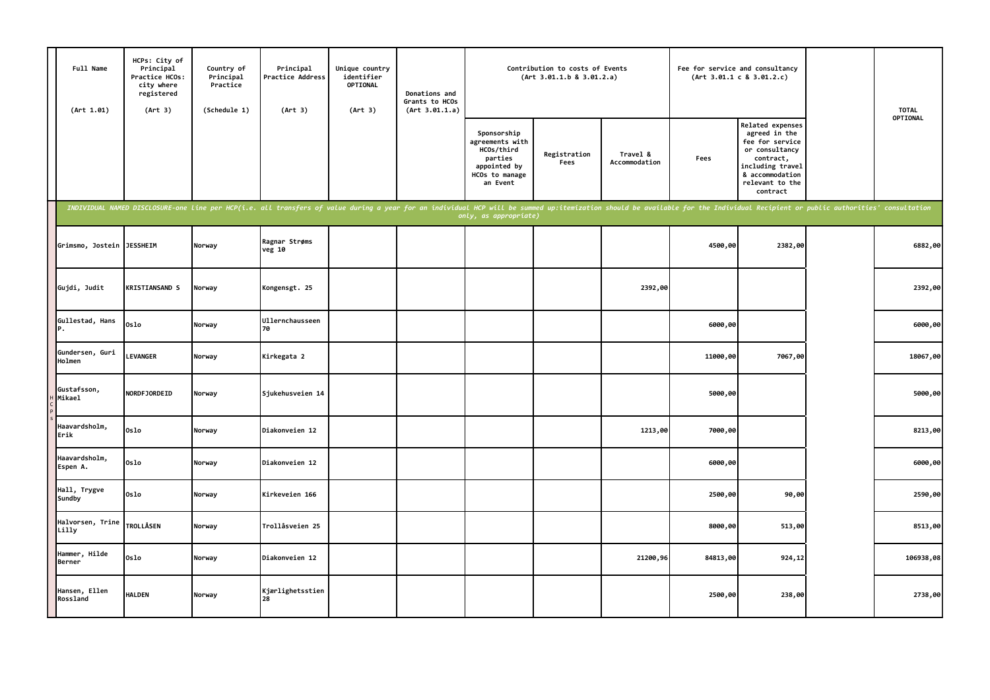| Full Name<br>(Art 1.01)   | HCPs: City of<br>Principal<br>Practice HCOs:<br>city where<br>registered<br>(Art 3) | Country of<br>Principal<br>Practice<br>(Schedule 1) | Principal<br>Practice Address<br>(Art 3)                                                                                                                                                                                       | Unique country<br>identifier<br>OPTIONAL<br>(Art 3) | Donations and<br>Grants to HCOs<br>(Art 3.01.1.a) |                                                                                                       | Contribution to costs of Events<br>(Art 3.01.1.b 8 3.01.2.a) |                           | Fee for service and consultancy | (Art 3.01.1 c 8 3.01.2.c)                                                                                                                                        | <b>TOTAL</b> |
|---------------------------|-------------------------------------------------------------------------------------|-----------------------------------------------------|--------------------------------------------------------------------------------------------------------------------------------------------------------------------------------------------------------------------------------|-----------------------------------------------------|---------------------------------------------------|-------------------------------------------------------------------------------------------------------|--------------------------------------------------------------|---------------------------|---------------------------------|------------------------------------------------------------------------------------------------------------------------------------------------------------------|--------------|
|                           |                                                                                     |                                                     |                                                                                                                                                                                                                                |                                                     |                                                   | Sponsorship<br>agreements with<br>HCOs/third<br>parties<br>appointed by<br>HCOs to manage<br>an Event | Registration<br>Fees                                         | Travel &<br>Accommodation | Fees                            | <b>Related expenses</b><br>agreed in the<br>fee for service<br>or consultancy<br>contract,<br>including travel<br>& accommodation<br>relevant to the<br>contract | OPTIONAL     |
|                           |                                                                                     |                                                     | INDIVIDUAL NAMED DISCLOSURE-one line per HCP(i.e. all transfers of value during a year for an individual HCP will be summed up:itemization should be available for the Individual Recipient or public authorities' consultatio |                                                     |                                                   | only, as appropriate)                                                                                 |                                                              |                           |                                 |                                                                                                                                                                  |              |
| Grimsmo, Jostein          | <b>JESSHEIM</b>                                                                     | Norway                                              | Ragnar Strøms<br>veg 10                                                                                                                                                                                                        |                                                     |                                                   |                                                                                                       |                                                              |                           | 4500,00                         | 2382,00                                                                                                                                                          | 6882,00      |
| Gujdi, Judit              | <b>KRISTIANSAND S</b>                                                               | Norway                                              | Kongensgt. 25                                                                                                                                                                                                                  |                                                     |                                                   |                                                                                                       |                                                              | 2392,00                   |                                 |                                                                                                                                                                  | 2392,00      |
| Gullestad, Hans<br>Р.     | 0slo                                                                                | Norway                                              | Ullernchausseen<br>70                                                                                                                                                                                                          |                                                     |                                                   |                                                                                                       |                                                              |                           | 6000,00                         |                                                                                                                                                                  | 6000,00      |
| Gundersen, Guri<br>Holmen | <b>LEVANGER</b>                                                                     | Norway                                              | Kirkegata 2                                                                                                                                                                                                                    |                                                     |                                                   |                                                                                                       |                                                              |                           | 11000,00                        | 7067,00                                                                                                                                                          | 18067,00     |
| Gustafsson,<br>Mikael     | NORDFJORDEID                                                                        | Norway                                              | Sjukehusveien 14                                                                                                                                                                                                               |                                                     |                                                   |                                                                                                       |                                                              |                           | 5000,00                         |                                                                                                                                                                  | 5000,00      |
| Haavardsholm,<br>Erik     | 0slo                                                                                | Norway                                              | Diakonveien 12                                                                                                                                                                                                                 |                                                     |                                                   |                                                                                                       |                                                              | 1213,00                   | 7000,00                         |                                                                                                                                                                  | 8213,00      |
| Haavardsholm,<br>Espen A. | 0slo                                                                                | Norway                                              | Diakonveien 12                                                                                                                                                                                                                 |                                                     |                                                   |                                                                                                       |                                                              |                           | 6000,00                         |                                                                                                                                                                  | 6000,00      |
| Hall, Trygve<br>Sundby    | Oslo                                                                                | Norway                                              | Kirkeveien 166                                                                                                                                                                                                                 |                                                     |                                                   |                                                                                                       |                                                              |                           | 2500,00                         | 90,00                                                                                                                                                            | 2590,00      |
| Halvorsen, Trine<br>Lilly | <b>TROLLÅSEN</b>                                                                    | Norway                                              | Trollåsveien 25                                                                                                                                                                                                                |                                                     |                                                   |                                                                                                       |                                                              |                           | 8000,00                         | 513,00                                                                                                                                                           | 8513,00      |
| Hammer, Hilde<br>Berner   | 0slo                                                                                | Norway                                              | Diakonveien 12                                                                                                                                                                                                                 |                                                     |                                                   |                                                                                                       |                                                              | 21200,96                  | 84813,00                        | 924,12                                                                                                                                                           | 106938,08    |
| Hansen, Ellen<br>Rossland | <b>HALDEN</b>                                                                       | Norway                                              | Kjærlighetsstien                                                                                                                                                                                                               |                                                     |                                                   |                                                                                                       |                                                              |                           | 2500,00                         | 238,00                                                                                                                                                           | 2738,00      |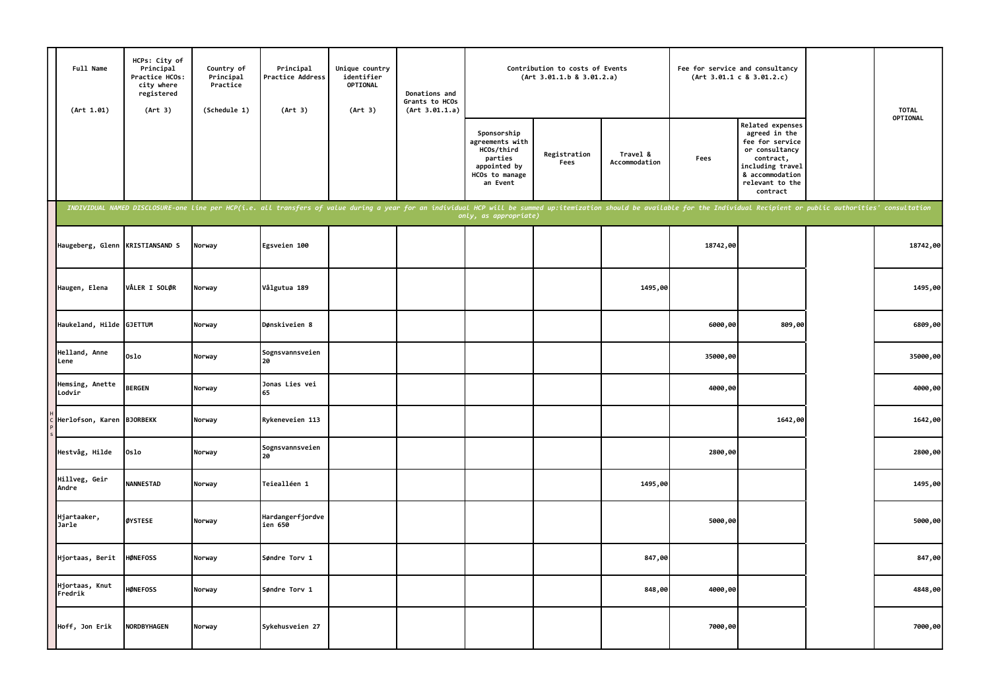| Full Name<br>(Art 1.01)         | HCPs: City of<br>Principal<br>Practice HCOs:<br>city where<br>registered<br>(Art 3) | Country of<br>Principal<br>Practice<br>(Schedule 1) | Principal<br>Practice Address<br>(Art 3)                                                                                                                                                                                       | Unique country<br>identifier<br><b>OPTIONAL</b><br>(Art 3) | Donations and<br>Grants to HCOs<br>(Art 3.01.1.a) |                                                                                                       | Contribution to costs of Events<br>(Art 3.01.1.b 8 3.01.2.a) |                           |          | Fee for service and consultancy<br>(Art 3.01.1 c 8 3.01.2.c)                                                                                              | <b>TOTAL</b> |
|---------------------------------|-------------------------------------------------------------------------------------|-----------------------------------------------------|--------------------------------------------------------------------------------------------------------------------------------------------------------------------------------------------------------------------------------|------------------------------------------------------------|---------------------------------------------------|-------------------------------------------------------------------------------------------------------|--------------------------------------------------------------|---------------------------|----------|-----------------------------------------------------------------------------------------------------------------------------------------------------------|--------------|
|                                 |                                                                                     |                                                     |                                                                                                                                                                                                                                |                                                            |                                                   | Sponsorship<br>agreements with<br>HCOs/third<br>parties<br>appointed by<br>HCOs to manage<br>an Event | Registration<br>Fees                                         | Travel &<br>Accommodation | Fees     | Related expenses<br>agreed in the<br>fee for service<br>or consultancy<br>contract,<br>including travel<br>& accommodation<br>relevant to the<br>contract | OPTIONAL     |
|                                 |                                                                                     |                                                     | INDIVIDUAL NAMED DISCLOSURE-one line per HCP(i.e. all transfers of value during a year for an individual HCP will be summed up:itemization should be available for the Individual Recipient or public authorities' consultatio |                                                            |                                                   | only, as appropriate)                                                                                 |                                                              |                           |          |                                                                                                                                                           |              |
| Haugeberg, Glenn KRISTIANSAND S |                                                                                     | Norway                                              | Egsveien 100                                                                                                                                                                                                                   |                                                            |                                                   |                                                                                                       |                                                              |                           | 18742,00 |                                                                                                                                                           | 18742,00     |
| Haugen, Elena                   | VÅLER I SOLØR                                                                       | Norway                                              | Vålgutua 189                                                                                                                                                                                                                   |                                                            |                                                   |                                                                                                       |                                                              | 1495,00                   |          |                                                                                                                                                           | 1495,00      |
| Haukeland, Hilde GJETTUM        |                                                                                     | Norway                                              | Dønskiveien 8                                                                                                                                                                                                                  |                                                            |                                                   |                                                                                                       |                                                              |                           | 6000,00  | 809,00                                                                                                                                                    | 6809,00      |
| Helland, Anne<br>Lene           | 0slo                                                                                | Norway                                              | Sognsvannsveien<br>20                                                                                                                                                                                                          |                                                            |                                                   |                                                                                                       |                                                              |                           | 35000,00 |                                                                                                                                                           | 35000,00     |
| Hemsing, Anette<br>Lodvir       | <b>BERGEN</b>                                                                       | Norway                                              | Jonas Lies vei<br>65                                                                                                                                                                                                           |                                                            |                                                   |                                                                                                       |                                                              |                           | 4000,00  |                                                                                                                                                           | 4000,00      |
| Herlofson, Karen                | <b>BJORBEKK</b>                                                                     | Norway                                              | Rykeneveien 113                                                                                                                                                                                                                |                                                            |                                                   |                                                                                                       |                                                              |                           |          | 1642,00                                                                                                                                                   | 1642,00      |
| Hestvåg, Hilde                  | Oslo                                                                                | Norway                                              | Sognsvannsveien<br>20                                                                                                                                                                                                          |                                                            |                                                   |                                                                                                       |                                                              |                           | 2800,00  |                                                                                                                                                           | 2800,00      |
| Hillveg, Geir<br>Andre          | <b>NANNESTAD</b>                                                                    | Norway                                              | Teiealléen 1                                                                                                                                                                                                                   |                                                            |                                                   |                                                                                                       |                                                              | 1495,00                   |          |                                                                                                                                                           | 1495,00      |
| Hjartaaker,<br>Jarle            | ØYSTESE                                                                             | Norway                                              | Hardangerfjordve<br>ien 650                                                                                                                                                                                                    |                                                            |                                                   |                                                                                                       |                                                              |                           | 5000,00  |                                                                                                                                                           | 5000,00      |
| Hjortaas, Berit                 | <b>HØNEFOSS</b>                                                                     | Norway                                              | Søndre Torv 1                                                                                                                                                                                                                  |                                                            |                                                   |                                                                                                       |                                                              | 847,00                    |          |                                                                                                                                                           | 847,00       |
| Hjortaas, Knut<br>Fredrik       | <b>HØNEFOSS</b>                                                                     | Norway                                              | Søndre Torv 1                                                                                                                                                                                                                  |                                                            |                                                   |                                                                                                       |                                                              | 848,00                    | 4000,00  |                                                                                                                                                           | 4848,00      |
| Hoff, Jon Erik                  | NORDBYHAGEN                                                                         | Norway                                              | Sykehusveien 27                                                                                                                                                                                                                |                                                            |                                                   |                                                                                                       |                                                              |                           | 7000,00  |                                                                                                                                                           | 7000,00      |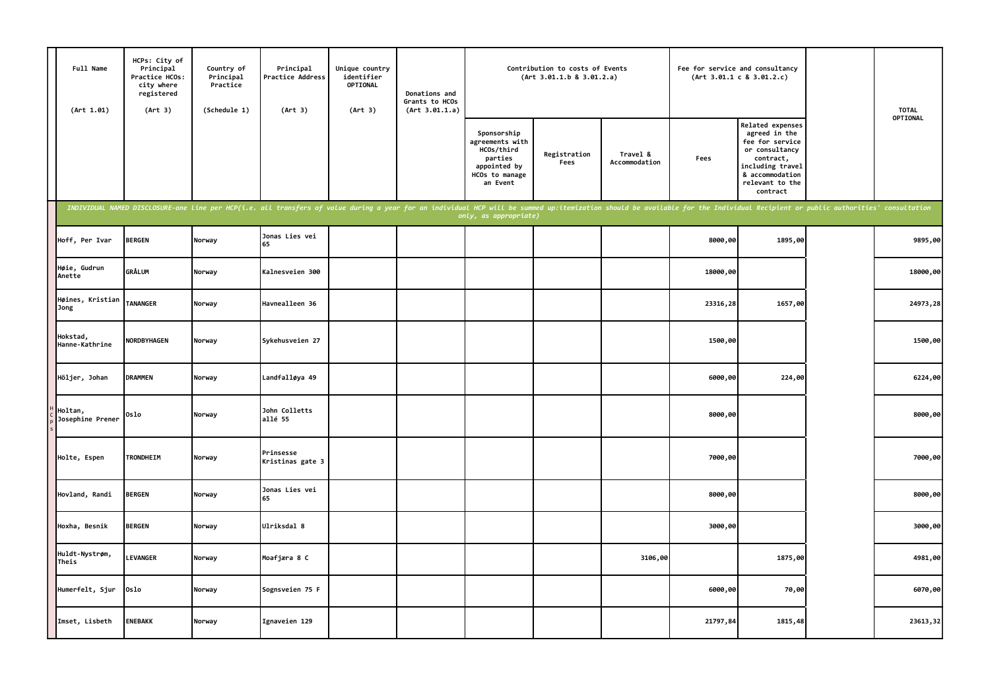| Full Name<br>(Art 1.01)     | HCPs: City of<br>Principal<br>Practice HCOs:<br>city where<br>registered<br>(Art 3) | Country of<br>Principal<br>Practice<br>(Schedule 1) | Principal<br>Practice Address<br>(Art 3)                                                                                                                                                                                       | Unique country<br>identifier<br>OPTIONAL<br>(Art 3) | Donations and<br>Grants to HCOs<br>(Art 3.01.1.a) |                                                                                                       | Contribution to costs of Events<br>(Art 3.01.1.b 8 3.01.2.a) |                           | Fee for service and consultancy | (Art 3.01.1 c 8 3.01.2.c)                                                                                                                                 | <b>TOTAL</b> |
|-----------------------------|-------------------------------------------------------------------------------------|-----------------------------------------------------|--------------------------------------------------------------------------------------------------------------------------------------------------------------------------------------------------------------------------------|-----------------------------------------------------|---------------------------------------------------|-------------------------------------------------------------------------------------------------------|--------------------------------------------------------------|---------------------------|---------------------------------|-----------------------------------------------------------------------------------------------------------------------------------------------------------|--------------|
|                             |                                                                                     |                                                     |                                                                                                                                                                                                                                |                                                     |                                                   | Sponsorship<br>agreements with<br>HCOs/third<br>parties<br>appointed by<br>HCOs to manage<br>an Event | Registration<br>Fees                                         | Travel &<br>Accommodation | Fees                            | Related expenses<br>agreed in the<br>fee for service<br>or consultancy<br>contract,<br>including travel<br>& accommodation<br>relevant to the<br>contract | OPTIONAL     |
|                             |                                                                                     |                                                     | INDIVIDUAL NAMED DISCLOSURE-one line per HCP(i.e. all transfers of value during a year for an individual HCP will be summed up:itemization should be available for the Individual Recipient or public authorities' consultatio |                                                     |                                                   | only, as appropriate)                                                                                 |                                                              |                           |                                 |                                                                                                                                                           |              |
| Hoff, Per Ivar              | <b>BERGEN</b>                                                                       | Norway                                              | Jonas Lies vei<br>65                                                                                                                                                                                                           |                                                     |                                                   |                                                                                                       |                                                              |                           | 8000,00                         | 1895,00                                                                                                                                                   | 9895,00      |
| Høie, Gudrun<br>Anette      | <b>GRÅLUM</b>                                                                       | Norway                                              | Kalnesveien 300                                                                                                                                                                                                                |                                                     |                                                   |                                                                                                       |                                                              |                           | 18000,00                        |                                                                                                                                                           | 18000,00     |
| Høines, Kristian<br>Jong    | <b>TANANGER</b>                                                                     | Norway                                              | Havnealleen 36                                                                                                                                                                                                                 |                                                     |                                                   |                                                                                                       |                                                              |                           | 23316,28                        | 1657,00                                                                                                                                                   | 24973,28     |
| Hokstad,<br>Hanne-Kathrine  | NORDBYHAGEN                                                                         | Norway                                              | Sykehusveien 27                                                                                                                                                                                                                |                                                     |                                                   |                                                                                                       |                                                              |                           | 1500,00                         |                                                                                                                                                           | 1500,00      |
| Höljer, Johan               | <b>DRAMMEN</b>                                                                      | Norway                                              | Landfalløya 49                                                                                                                                                                                                                 |                                                     |                                                   |                                                                                                       |                                                              |                           | 6000,00                         | 224,00                                                                                                                                                    | 6224,00      |
| Holtan,<br>Josephine Prener | 0slo                                                                                | Norway                                              | John Colletts<br>allé 55                                                                                                                                                                                                       |                                                     |                                                   |                                                                                                       |                                                              |                           | 8000,00                         |                                                                                                                                                           | 8000,00      |
| Holte, Espen                | TRONDHEIM                                                                           | Norway                                              | Prinsesse<br>Kristinas gate 3                                                                                                                                                                                                  |                                                     |                                                   |                                                                                                       |                                                              |                           | 7000,00                         |                                                                                                                                                           | 7000,00      |
| Hovland, Randi              | <b>BERGEN</b>                                                                       | Norway                                              | Jonas Lies vei<br>65                                                                                                                                                                                                           |                                                     |                                                   |                                                                                                       |                                                              |                           | 8000,00                         |                                                                                                                                                           | 8000,00      |
| Hoxha, Besnik               | <b>BERGEN</b>                                                                       | Norway                                              | Ulriksdal 8                                                                                                                                                                                                                    |                                                     |                                                   |                                                                                                       |                                                              |                           | 3000,00                         |                                                                                                                                                           | 3000,00      |
| Huldt-Nystrøm,<br>Theis     | <b>LEVANGER</b>                                                                     | Norway                                              | Moafjæra 8 C                                                                                                                                                                                                                   |                                                     |                                                   |                                                                                                       |                                                              | 3106,00                   |                                 | 1875,00                                                                                                                                                   | 4981,00      |
| Humerfelt, Sjur             | Oslo                                                                                | Norway                                              | Sognsveien 75 F                                                                                                                                                                                                                |                                                     |                                                   |                                                                                                       |                                                              |                           | 6000,00                         | 70,00                                                                                                                                                     | 6070,00      |
| Imset, Lisbeth              | <b>ENEBAKK</b>                                                                      | Norway                                              | Ignaveien 129                                                                                                                                                                                                                  |                                                     |                                                   |                                                                                                       |                                                              |                           | 21797,84                        | 1815,48                                                                                                                                                   | 23613,32     |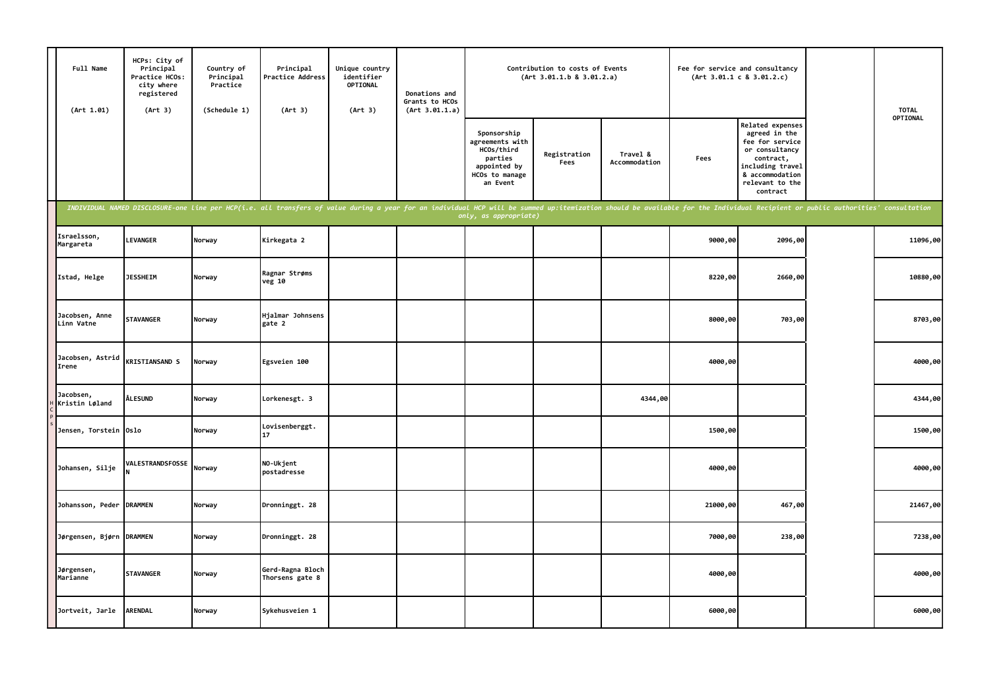| Full Name<br>(Art 1.01)      | HCPs: City of<br>Principal<br>Practice HCOs:<br>city where<br>registered<br>(Art 3) | Country of<br>Principal<br>Practice<br>(Schedule 1) | Principal<br>Practice Address<br>(Art 3)                                                                                                                                                                                       | Unique country<br>identifier<br>OPTIONAL<br>(Art 3) | Donations and<br>Grants to HCOs<br>(Art 3.01.1.a) |                                                                                                       | Contribution to costs of Events<br>(Art 3.01.1.b 8 3.01.2.a) |                           |          | Fee for service and consultancy<br>(Art 3.01.1 c 8 3.01.2.c)                                                                                              | <b>TOTAL</b> |
|------------------------------|-------------------------------------------------------------------------------------|-----------------------------------------------------|--------------------------------------------------------------------------------------------------------------------------------------------------------------------------------------------------------------------------------|-----------------------------------------------------|---------------------------------------------------|-------------------------------------------------------------------------------------------------------|--------------------------------------------------------------|---------------------------|----------|-----------------------------------------------------------------------------------------------------------------------------------------------------------|--------------|
|                              |                                                                                     |                                                     |                                                                                                                                                                                                                                |                                                     |                                                   | Sponsorship<br>agreements with<br>HCOs/third<br>parties<br>appointed by<br>HCOs to manage<br>an Event | Registration<br>Fees                                         | Travel &<br>Accommodation | Fees     | Related expenses<br>agreed in the<br>fee for service<br>or consultancy<br>contract,<br>including travel<br>& accommodation<br>relevant to the<br>contract | OPTIONAL     |
|                              |                                                                                     |                                                     | INDIVIDUAL NAMED DISCLOSURE-one line per HCP(i.e. all transfers of value during a year for an individual HCP will be summed up:itemization should be available for the Individual Recipient or public authorities' consultatio |                                                     |                                                   | only, as appropriate)                                                                                 |                                                              |                           |          |                                                                                                                                                           |              |
| Israelsson,<br>Margareta     | <b>LEVANGER</b>                                                                     | Norway                                              | Kirkegata 2                                                                                                                                                                                                                    |                                                     |                                                   |                                                                                                       |                                                              |                           | 9000,00  | 2096,00                                                                                                                                                   | 11096,00     |
| Istad, Helge                 | <b>JESSHEIM</b>                                                                     | Norway                                              | Ragnar Strøms<br>veg 10                                                                                                                                                                                                        |                                                     |                                                   |                                                                                                       |                                                              |                           | 8220,00  | 2660,00                                                                                                                                                   | 10880,00     |
| Jacobsen, Anne<br>Linn Vatne | <b>STAVANGER</b>                                                                    | Norway                                              | Hjalmar Johnsens<br>gate 2                                                                                                                                                                                                     |                                                     |                                                   |                                                                                                       |                                                              |                           | 8000,00  | 703,00                                                                                                                                                    | 8703,00      |
| Jacobsen, Astrid<br>Irene    | <b>KRISTIANSAND S</b>                                                               | Norway                                              | Egsveien 100                                                                                                                                                                                                                   |                                                     |                                                   |                                                                                                       |                                                              |                           | 4000,00  |                                                                                                                                                           | 4000,00      |
| Jacobsen,<br>Kristin Løland  | <b>ÅLESUND</b>                                                                      | Norway                                              | Lorkenesgt. 3                                                                                                                                                                                                                  |                                                     |                                                   |                                                                                                       |                                                              | 4344,00                   |          |                                                                                                                                                           | 4344,00      |
| Jensen, Torstein Oslo        |                                                                                     | Norway                                              | Lovisenberggt.<br>17                                                                                                                                                                                                           |                                                     |                                                   |                                                                                                       |                                                              |                           | 1500,00  |                                                                                                                                                           | 1500,00      |
| Johansen, Silje              | VALESTRANDSFOSSE                                                                    | Norway                                              | NO-Ukjent<br>postadresse                                                                                                                                                                                                       |                                                     |                                                   |                                                                                                       |                                                              |                           | 4000,00  |                                                                                                                                                           | 4000,00      |
| Johansson, Peder DRAMMEN     |                                                                                     | Norway                                              | Dronninggt. 28                                                                                                                                                                                                                 |                                                     |                                                   |                                                                                                       |                                                              |                           | 21000,00 | 467,00                                                                                                                                                    | 21467,00     |
| Jørgensen, Bjørn DRAMMEN     |                                                                                     | Norway                                              | Dronninggt. 28                                                                                                                                                                                                                 |                                                     |                                                   |                                                                                                       |                                                              |                           | 7000,00  | 238,00                                                                                                                                                    | 7238,00      |
| Jørgensen,<br>Marianne       | <b>STAVANGER</b>                                                                    | Norway                                              | Gerd-Ragna Bloch<br>Thorsens gate 8                                                                                                                                                                                            |                                                     |                                                   |                                                                                                       |                                                              |                           | 4000,00  |                                                                                                                                                           | 4000,00      |
| Jortveit, Jarle              | <b>ARENDAL</b>                                                                      | Norway                                              | Sykehusveien 1                                                                                                                                                                                                                 |                                                     |                                                   |                                                                                                       |                                                              |                           | 6000,00  |                                                                                                                                                           | 6000,00      |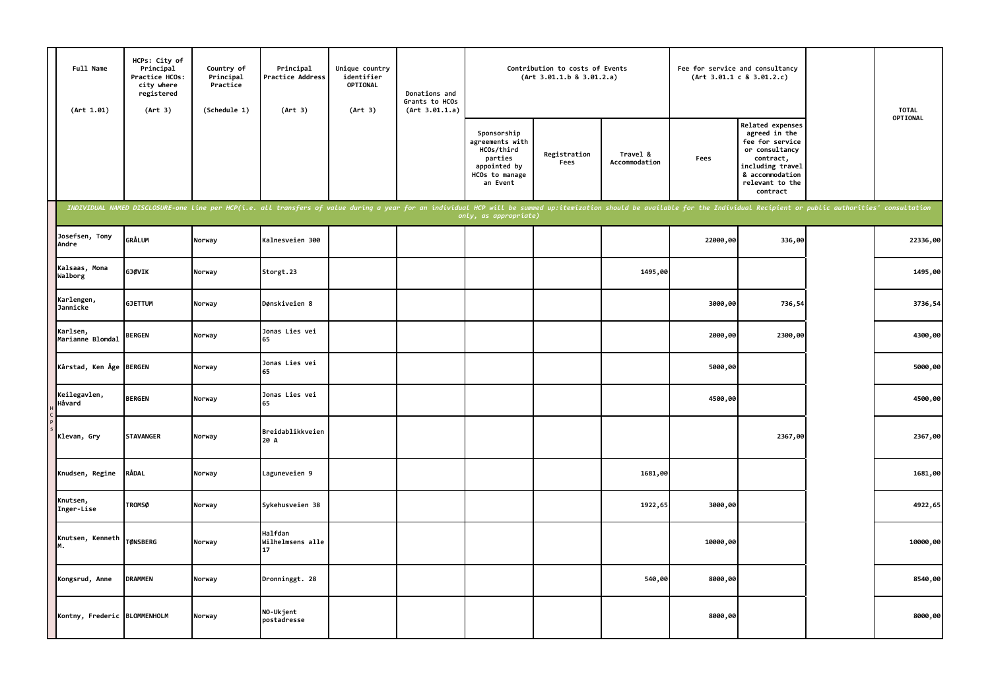| Full Name<br>(Art 1.01)      | HCPs: City of<br>Principal<br>Practice HCOs:<br>city where<br>registered<br>(Art 3) | Country of<br>Principal<br>Practice<br>(Schedule 1) | Principal<br>Practice Address<br>(Art 3)                                                                                                                                                                                       | Unique country<br>identifier<br>OPTIONAL<br>(Art 3) | Donations and<br>Grants to HCOs<br>(Art 3.01.1.a) |                                                                                                       | Contribution to costs of Events<br>(Art 3.01.1.b 8 3.01.2.a) |                           | Fee for service and consultancy | (Art 3.01.1 c 8 3.01.2.c)                                                                                                                                 | <b>TOTAL</b> |
|------------------------------|-------------------------------------------------------------------------------------|-----------------------------------------------------|--------------------------------------------------------------------------------------------------------------------------------------------------------------------------------------------------------------------------------|-----------------------------------------------------|---------------------------------------------------|-------------------------------------------------------------------------------------------------------|--------------------------------------------------------------|---------------------------|---------------------------------|-----------------------------------------------------------------------------------------------------------------------------------------------------------|--------------|
|                              |                                                                                     |                                                     |                                                                                                                                                                                                                                |                                                     |                                                   | Sponsorship<br>agreements with<br>HCOs/third<br>parties<br>appointed by<br>HCOs to manage<br>an Event | Registration<br>Fees                                         | Travel &<br>Accommodation | Fees                            | Related expenses<br>agreed in the<br>fee for service<br>or consultancy<br>contract,<br>including travel<br>& accommodation<br>relevant to the<br>contract | OPTIONAL     |
|                              |                                                                                     |                                                     | INDIVIDUAL NAMED DISCLOSURE-one line per HCP(i.e. all transfers of value during a year for an individual HCP will be summed up:itemization should be available for the Individual Recipient or public authorities' consultatio |                                                     |                                                   | only, as appropriate)                                                                                 |                                                              |                           |                                 |                                                                                                                                                           |              |
| Josefsen, Tony<br>Andre      | <b>GRÅLUM</b>                                                                       | Norway                                              | Kalnesveien 300                                                                                                                                                                                                                |                                                     |                                                   |                                                                                                       |                                                              |                           | 22000,00                        | 336,00                                                                                                                                                    | 22336,00     |
| Kalsaas, Mona<br>Walborg     | GJØVIK                                                                              | Norway                                              | Storgt.23                                                                                                                                                                                                                      |                                                     |                                                   |                                                                                                       |                                                              | 1495,00                   |                                 |                                                                                                                                                           | 1495,00      |
| Karlengen,<br>Jannicke       | <b>GJETTUM</b>                                                                      | Norway                                              | Dønskiveien 8                                                                                                                                                                                                                  |                                                     |                                                   |                                                                                                       |                                                              |                           | 3000,00                         | 736,54                                                                                                                                                    | 3736,54      |
| Karlsen,<br>Marianne Blomdal | <b>BERGEN</b>                                                                       | Norway                                              | Jonas Lies vei<br>65                                                                                                                                                                                                           |                                                     |                                                   |                                                                                                       |                                                              |                           | 2000,00                         | 2300,00                                                                                                                                                   | 4300,00      |
| Kårstad, Ken Åge BERGEN      |                                                                                     | Norway                                              | Jonas Lies vei<br>65                                                                                                                                                                                                           |                                                     |                                                   |                                                                                                       |                                                              |                           | 5000,00                         |                                                                                                                                                           | 5000,00      |
| Keilegavlen,<br>Håvard       | <b>BERGEN</b>                                                                       | Norway                                              | Jonas Lies vei<br>65                                                                                                                                                                                                           |                                                     |                                                   |                                                                                                       |                                                              |                           | 4500,00                         |                                                                                                                                                           | 4500,00      |
| Klevan, Gry                  | <b>STAVANGER</b>                                                                    | Norway                                              | Breidablikkveien<br>20 A                                                                                                                                                                                                       |                                                     |                                                   |                                                                                                       |                                                              |                           |                                 | 2367,00                                                                                                                                                   | 2367,00      |
| Knudsen, Regine              | RÅDAL                                                                               | Norway                                              | Laguneveien 9                                                                                                                                                                                                                  |                                                     |                                                   |                                                                                                       |                                                              | 1681,00                   |                                 |                                                                                                                                                           | 1681,00      |
| Knutsen,<br>Inger-Lise       | <b>TROMSØ</b>                                                                       | Norway                                              | Sykehusveien 38                                                                                                                                                                                                                |                                                     |                                                   |                                                                                                       |                                                              | 1922,65                   | 3000,00                         |                                                                                                                                                           | 4922,65      |
| Knutsen, Kenneth<br>М.       | <b>TØNSBERG</b>                                                                     | Norway                                              | Halfdan<br>Wilhelmsens alle<br>17                                                                                                                                                                                              |                                                     |                                                   |                                                                                                       |                                                              |                           | 10000,00                        |                                                                                                                                                           | 10000,00     |
| Kongsrud, Anne               | <b>DRAMMEN</b>                                                                      | Norway                                              | Dronninggt. 28                                                                                                                                                                                                                 |                                                     |                                                   |                                                                                                       |                                                              | 540,00                    | 8000,00                         |                                                                                                                                                           | 8540,00      |
| Kontny, Frederic BLOMMENHOLM |                                                                                     | Norway                                              | NO-Ukjent<br>postadresse                                                                                                                                                                                                       |                                                     |                                                   |                                                                                                       |                                                              |                           | 8000,00                         |                                                                                                                                                           | 8000,00      |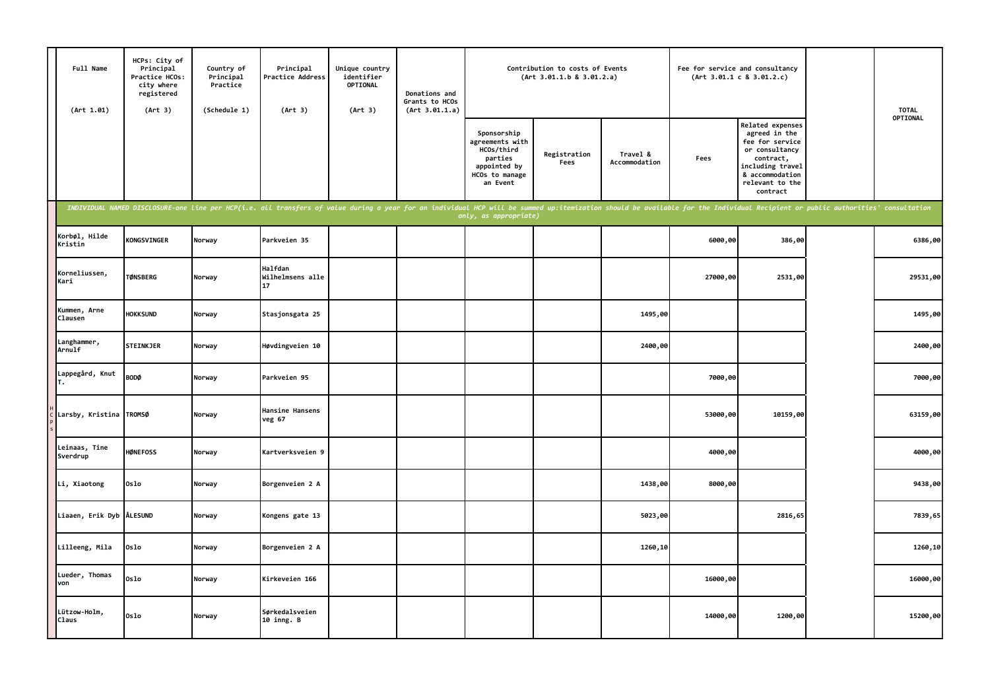| Full Name<br>(Art 1.01)   | HCPs: City of<br>Principal<br>Practice HCOs:<br>city where<br>registered<br>(Art 3)                                                                                                                                            | Country of<br>Principal<br>Practice<br>(Schedule 1) | Principal<br>Practice Address<br>(Art 3) | Unique country<br>identifier<br><b>OPTIONAL</b><br>(Art 3) | Donations and<br>Grants to HCOs<br>(Art 3.01.1.a) |                                                                                                       | Contribution to costs of Events<br>(Art 3.01.1.b 8 3.01.2.a) |                           |          | Fee for service and consultancy<br>(Art 3.01.1 c 8 3.01.2.c)                                                                                              | <b>TOTAL</b> |
|---------------------------|--------------------------------------------------------------------------------------------------------------------------------------------------------------------------------------------------------------------------------|-----------------------------------------------------|------------------------------------------|------------------------------------------------------------|---------------------------------------------------|-------------------------------------------------------------------------------------------------------|--------------------------------------------------------------|---------------------------|----------|-----------------------------------------------------------------------------------------------------------------------------------------------------------|--------------|
|                           |                                                                                                                                                                                                                                |                                                     |                                          |                                                            |                                                   | Sponsorship<br>agreements with<br>HCOs/third<br>parties<br>appointed by<br>HCOs to manage<br>an Event | Registration<br>Fees                                         | Travel &<br>Accommodation | Fees     | Related expenses<br>agreed in the<br>fee for service<br>or consultancy<br>contract,<br>including travel<br>& accommodation<br>relevant to the<br>contract | OPTIONAL     |
|                           | INDIVIDUAL NAMED DISCLOSURE-one line per HCP(i.e. all transfers of value during a year for an individual HCP will be summed up:itemization should be available for the Individual Recipient or public authorities' consultatio |                                                     |                                          |                                                            |                                                   | only, as appropriate)                                                                                 |                                                              |                           |          |                                                                                                                                                           |              |
| Korbøl, Hilde<br>Kristin  | <b>KONGSVINGER</b>                                                                                                                                                                                                             | Norway                                              | Parkveien 35                             |                                                            |                                                   |                                                                                                       |                                                              |                           | 6000,00  | 386,00                                                                                                                                                    | 6386,00      |
| Korneliussen,<br>Kari     | <b>TØNSBERG</b>                                                                                                                                                                                                                | Norway                                              | Halfdan<br>Wilhelmsens alle<br>17        |                                                            |                                                   |                                                                                                       |                                                              |                           | 27000,00 | 2531,00                                                                                                                                                   | 29531,00     |
| Kummen, Arne<br>Clausen   | <b>HOKKSUND</b>                                                                                                                                                                                                                | Norway                                              | Stasjonsgata 25                          |                                                            |                                                   |                                                                                                       |                                                              | 1495,00                   |          |                                                                                                                                                           | 1495,00      |
| Langhammer,<br>Arnulf     | <b>STEINKJER</b>                                                                                                                                                                                                               | Norway                                              | Høvdingveien 10                          |                                                            |                                                   |                                                                                                       |                                                              | 2400,00                   |          |                                                                                                                                                           | 2400,00      |
| Lappegård, Knut           | <b>BODØ</b>                                                                                                                                                                                                                    | Norway                                              | Parkveien 95                             |                                                            |                                                   |                                                                                                       |                                                              |                           | 7000,00  |                                                                                                                                                           | 7000,00      |
| Larsby, Kristina          | <b>TROMSØ</b>                                                                                                                                                                                                                  | Norway                                              | Hansine Hansens<br>veg 67                |                                                            |                                                   |                                                                                                       |                                                              |                           | 53000,00 | 10159,00                                                                                                                                                  | 63159,00     |
| Leinaas, Tine<br>Sverdrup | <b>HØNEFOSS</b>                                                                                                                                                                                                                | Norway                                              | Kartverksveien 9                         |                                                            |                                                   |                                                                                                       |                                                              |                           | 4000,00  |                                                                                                                                                           | 4000,00      |
| Li, Xiaotong              | Oslo                                                                                                                                                                                                                           | Norway                                              | Borgenveien 2 A                          |                                                            |                                                   |                                                                                                       |                                                              | 1438,00                   | 8000,00  |                                                                                                                                                           | 9438,00      |
| Liaaen, Erik Dyb ÅLESUND  |                                                                                                                                                                                                                                | Norway                                              | Kongens gate 13                          |                                                            |                                                   |                                                                                                       |                                                              | 5023,00                   |          | 2816,65                                                                                                                                                   | 7839,65      |
| Lilleeng, Mila            | Oslo                                                                                                                                                                                                                           | Norway                                              | Borgenveien 2 A                          |                                                            |                                                   |                                                                                                       |                                                              | 1260,10                   |          |                                                                                                                                                           | 1260,10      |
| Lueder, Thomas<br>von     | Oslo                                                                                                                                                                                                                           | Norway                                              | Kirkeveien 166                           |                                                            |                                                   |                                                                                                       |                                                              |                           | 16000,00 |                                                                                                                                                           | 16000,00     |
| Lützow-Holm,<br>Claus     | Oslo                                                                                                                                                                                                                           | Norway                                              | Sørkedalsveien<br>10 inng. B             |                                                            |                                                   |                                                                                                       |                                                              |                           | 14000,00 | 1200,00                                                                                                                                                   | 15200,00     |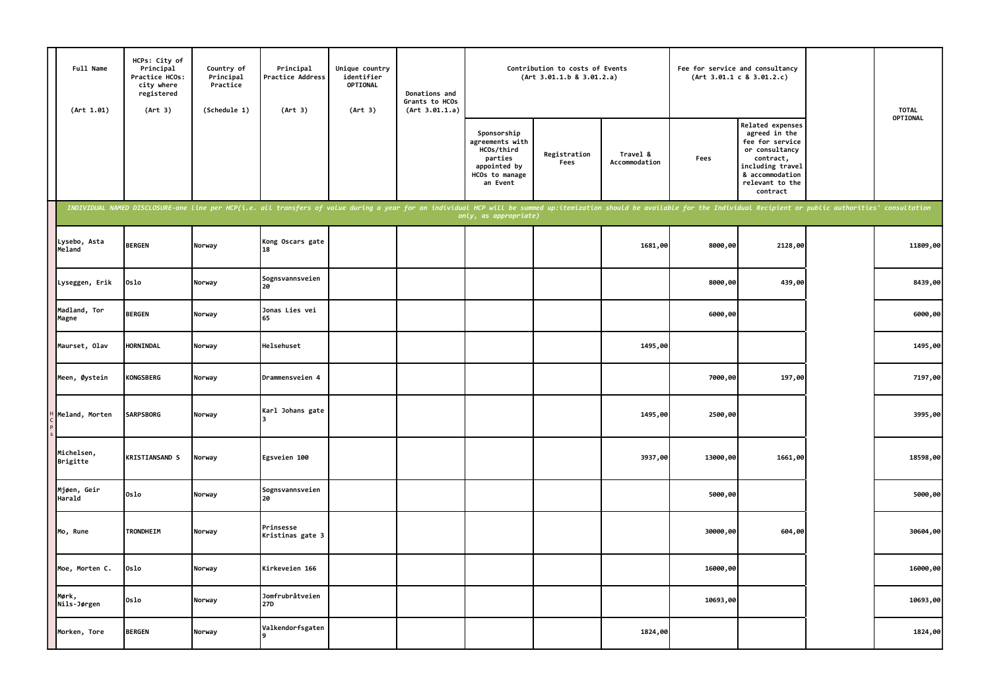| Full Name<br>(Art 1.01) | HCPs: City of<br>Principal<br>Practice HCOs:<br>city where<br>registered<br>(Art 3) | Country of<br>Principal<br>Practice<br>(Schedule 1) | Principal<br><b>Practice Address</b><br>(Art 3)                                                                                                                                                                                | Unique country<br>identifier<br>OPTIONAL<br>(Art 3) | Donations and<br>Grants to HCOs<br>(Art 3.01.1.a) |                                                                                                       | Contribution to costs of Events<br>(Art 3.01.1.b 8 3.01.2.a) |                           | Fee for service and consultancy | (Art 3.01.1 c 8 3.01.2.c)                                                                                                                                 | <b>TOTAL</b> |
|-------------------------|-------------------------------------------------------------------------------------|-----------------------------------------------------|--------------------------------------------------------------------------------------------------------------------------------------------------------------------------------------------------------------------------------|-----------------------------------------------------|---------------------------------------------------|-------------------------------------------------------------------------------------------------------|--------------------------------------------------------------|---------------------------|---------------------------------|-----------------------------------------------------------------------------------------------------------------------------------------------------------|--------------|
|                         |                                                                                     |                                                     |                                                                                                                                                                                                                                |                                                     |                                                   | Sponsorship<br>agreements with<br>HCOs/third<br>parties<br>appointed by<br>HCOs to manage<br>an Event | Registration<br>Fees                                         | Travel &<br>Accommodation | Fees                            | Related expenses<br>agreed in the<br>fee for service<br>or consultancy<br>contract,<br>including travel<br>& accommodation<br>relevant to the<br>contract | OPTIONAL     |
|                         |                                                                                     |                                                     | INDIVIDUAL NAMED DISCLOSURE-one line per HCP(i.e. all transfers of value during a year for an individual HCP will be summed up:itemization should be available for the Individual Recipient or public authorities' consultatio |                                                     |                                                   | only, as appropriate)                                                                                 |                                                              |                           |                                 |                                                                                                                                                           |              |
| Lysebo, Asta<br>Meland  | <b>BERGEN</b>                                                                       | Norway                                              | Kong Oscars gate<br>18                                                                                                                                                                                                         |                                                     |                                                   |                                                                                                       |                                                              | 1681,00                   | 8000,00                         | 2128,00                                                                                                                                                   | 11809,00     |
| Lyseggen, Erik          | 0slo                                                                                | Norway                                              | Sognsvannsveien<br>20                                                                                                                                                                                                          |                                                     |                                                   |                                                                                                       |                                                              |                           | 8000,00                         | 439,00                                                                                                                                                    | 8439,00      |
| Madland, Tor<br>Magne   | <b>BERGEN</b>                                                                       | Norway                                              | Jonas Lies vei<br>65                                                                                                                                                                                                           |                                                     |                                                   |                                                                                                       |                                                              |                           | 6000,00                         |                                                                                                                                                           | 6000,00      |
| Maurset, Olav           | HORNINDAL                                                                           | Norway                                              | Helsehuset                                                                                                                                                                                                                     |                                                     |                                                   |                                                                                                       |                                                              | 1495,00                   |                                 |                                                                                                                                                           | 1495,00      |
| Meen, Øystein           | <b>KONGSBERG</b>                                                                    | Norway                                              | Drammensveien 4                                                                                                                                                                                                                |                                                     |                                                   |                                                                                                       |                                                              |                           | 7000,00                         | 197,00                                                                                                                                                    | 7197,00      |
| Meland, Morten          | <b>SARPSBORG</b>                                                                    | Norway                                              | Karl Johans gate                                                                                                                                                                                                               |                                                     |                                                   |                                                                                                       |                                                              | 1495,00                   | 2500,00                         |                                                                                                                                                           | 3995,00      |
| Michelsen,<br>Brigitte  | <b>KRISTIANSAND S</b>                                                               | Norway                                              | Egsveien 100                                                                                                                                                                                                                   |                                                     |                                                   |                                                                                                       |                                                              | 3937,00                   | 13000,00                        | 1661,00                                                                                                                                                   | 18598,00     |
| Mjøen, Geir<br>Harald   | 0slo                                                                                | Norway                                              | Sognsvannsveien<br>20                                                                                                                                                                                                          |                                                     |                                                   |                                                                                                       |                                                              |                           | 5000,00                         |                                                                                                                                                           | 5000,00      |
| Mo, Rune                | TRONDHEIM                                                                           | Norway                                              | Prinsesse<br>Kristinas gate 3                                                                                                                                                                                                  |                                                     |                                                   |                                                                                                       |                                                              |                           | 30000,00                        | 604,00                                                                                                                                                    | 30604,00     |
| Moe, Morten C.          | 0slo                                                                                | Norway                                              | Kirkeveien 166                                                                                                                                                                                                                 |                                                     |                                                   |                                                                                                       |                                                              |                           | 16000,00                        |                                                                                                                                                           | 16000,00     |
| Mørk,<br>Nils-Jørgen    | Oslo                                                                                | Norway                                              | Jomfrubråtveien<br>27D                                                                                                                                                                                                         |                                                     |                                                   |                                                                                                       |                                                              |                           | 10693,00                        |                                                                                                                                                           | 10693,00     |
| Morken, Tore            | <b>BERGEN</b>                                                                       | Norway                                              | Valkendorfsgaten                                                                                                                                                                                                               |                                                     |                                                   |                                                                                                       |                                                              | 1824,00                   |                                 |                                                                                                                                                           | 1824,00      |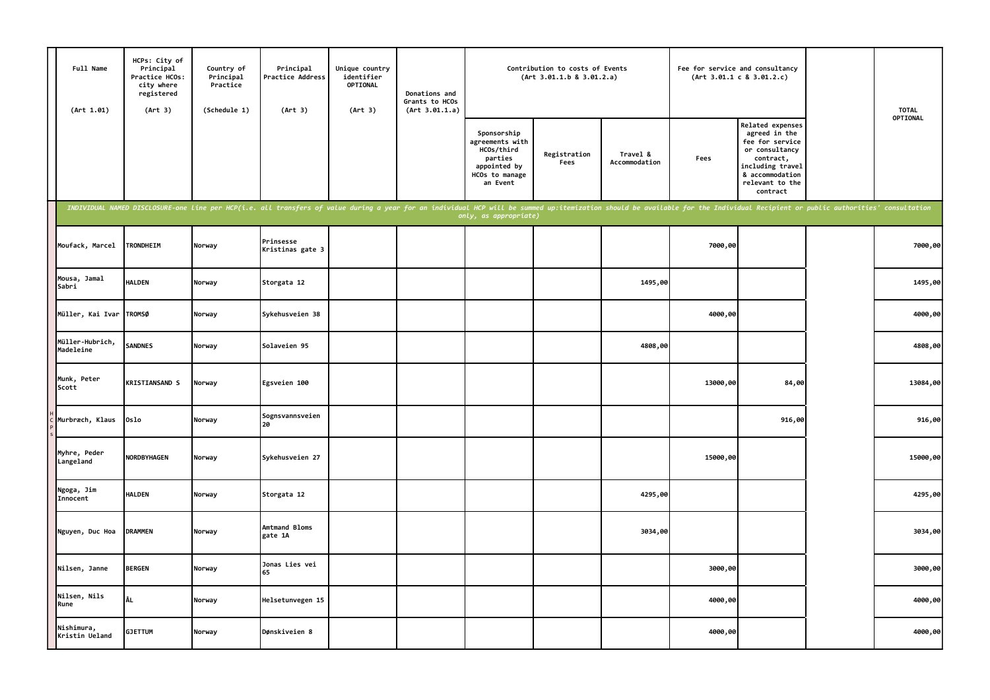| Full Name<br>(Art 1.01)      | HCPs: City of<br>Principal<br>Practice HCOs:<br>city where<br>registered<br>(Art 3) | Country of<br>Principal<br>Practice<br>(Schedule 1) | Principal<br>Practice Address<br>(Art 3)                                                                                                                                                                                       | Unique country<br>identifier<br>OPTIONAL<br>(Art 3) | Donations and<br>Grants to HCOs<br>(Art 3.01.1.a) |                                                                                                       | Contribution to costs of Events<br>(Art 3.01.1.b 8 3.01.2.a) |                           | Fee for service and consultancy | (Art 3.01.1 c 8 3.01.2.c)                                                                                                                                 | <b>TOTAL</b> |
|------------------------------|-------------------------------------------------------------------------------------|-----------------------------------------------------|--------------------------------------------------------------------------------------------------------------------------------------------------------------------------------------------------------------------------------|-----------------------------------------------------|---------------------------------------------------|-------------------------------------------------------------------------------------------------------|--------------------------------------------------------------|---------------------------|---------------------------------|-----------------------------------------------------------------------------------------------------------------------------------------------------------|--------------|
|                              |                                                                                     |                                                     |                                                                                                                                                                                                                                |                                                     |                                                   | Sponsorship<br>agreements with<br>HCOs/third<br>parties<br>appointed by<br>HCOs to manage<br>an Event | Registration<br>Fees                                         | Travel &<br>Accommodation | Fees                            | Related expenses<br>agreed in the<br>fee for service<br>or consultancy<br>contract,<br>including travel<br>& accommodation<br>relevant to the<br>contract | OPTIONAL     |
|                              |                                                                                     |                                                     | INDIVIDUAL NAMED DISCLOSURE-one line per HCP(i.e. all transfers of value during a year for an individual HCP will be summed up:itemization should be available for the Individual Recipient or public authorities' consultatio |                                                     |                                                   | only, as appropriate)                                                                                 |                                                              |                           |                                 |                                                                                                                                                           |              |
| Moufack, Marcel              | <b>TRONDHEIM</b>                                                                    | Norway                                              | Prinsesse<br>Kristinas gate 3                                                                                                                                                                                                  |                                                     |                                                   |                                                                                                       |                                                              |                           | 7000,00                         |                                                                                                                                                           | 7000,00      |
| Mousa, Jamal<br>Sabri        | <b>HALDEN</b>                                                                       | Norway                                              | Storgata 12                                                                                                                                                                                                                    |                                                     |                                                   |                                                                                                       |                                                              | 1495,00                   |                                 |                                                                                                                                                           | 1495,00      |
| Müller, Kai Ivar TROMSØ      |                                                                                     | Norway                                              | Sykehusveien 38                                                                                                                                                                                                                |                                                     |                                                   |                                                                                                       |                                                              |                           | 4000,00                         |                                                                                                                                                           | 4000,00      |
| Müller-Hubrich,<br>Madeleine | <b>SANDNES</b>                                                                      | Norway                                              | Solaveien 95                                                                                                                                                                                                                   |                                                     |                                                   |                                                                                                       |                                                              | 4808,00                   |                                 |                                                                                                                                                           | 4808,00      |
| Munk, Peter<br>Scott         | <b>KRISTIANSAND S</b>                                                               | Norway                                              | Egsveien 100                                                                                                                                                                                                                   |                                                     |                                                   |                                                                                                       |                                                              |                           | 13000,00                        | 84,00                                                                                                                                                     | 13084,00     |
| Murbræch, Klaus              | Oslo                                                                                | Norway                                              | Sognsvannsveien<br>20                                                                                                                                                                                                          |                                                     |                                                   |                                                                                                       |                                                              |                           |                                 | 916,00                                                                                                                                                    | 916,00       |
| Myhre, Peder<br>Langeland    | <b>NORDBYHAGEN</b>                                                                  | Norway                                              | Sykehusveien 27                                                                                                                                                                                                                |                                                     |                                                   |                                                                                                       |                                                              |                           | 15000,00                        |                                                                                                                                                           | 15000,00     |
| Ngoga, Jim<br>Innocent       | <b>HALDEN</b>                                                                       | Norway                                              | Storgata 12                                                                                                                                                                                                                    |                                                     |                                                   |                                                                                                       |                                                              | 4295,00                   |                                 |                                                                                                                                                           | 4295,00      |
| Nguyen, Duc Hoa              | <b>DRAMMEN</b>                                                                      | Norway                                              | Amtmand Bloms<br>gate 1A                                                                                                                                                                                                       |                                                     |                                                   |                                                                                                       |                                                              | 3034,00                   |                                 |                                                                                                                                                           | 3034,00      |
| Nilsen, Janne                | <b>BERGEN</b>                                                                       | Norway                                              | Jonas Lies vei<br>65                                                                                                                                                                                                           |                                                     |                                                   |                                                                                                       |                                                              |                           | 3000,00                         |                                                                                                                                                           | 3000,00      |
| Nilsen, Nils<br>Rune         | ÅL                                                                                  | Norway                                              | Helsetunvegen 15                                                                                                                                                                                                               |                                                     |                                                   |                                                                                                       |                                                              |                           | 4000,00                         |                                                                                                                                                           | 4000,00      |
| Nishimura,<br>Kristin Ueland | <b>GJETTUM</b>                                                                      | Norway                                              | Dønskiveien 8                                                                                                                                                                                                                  |                                                     |                                                   |                                                                                                       |                                                              |                           | 4000,00                         |                                                                                                                                                           | 4000,00      |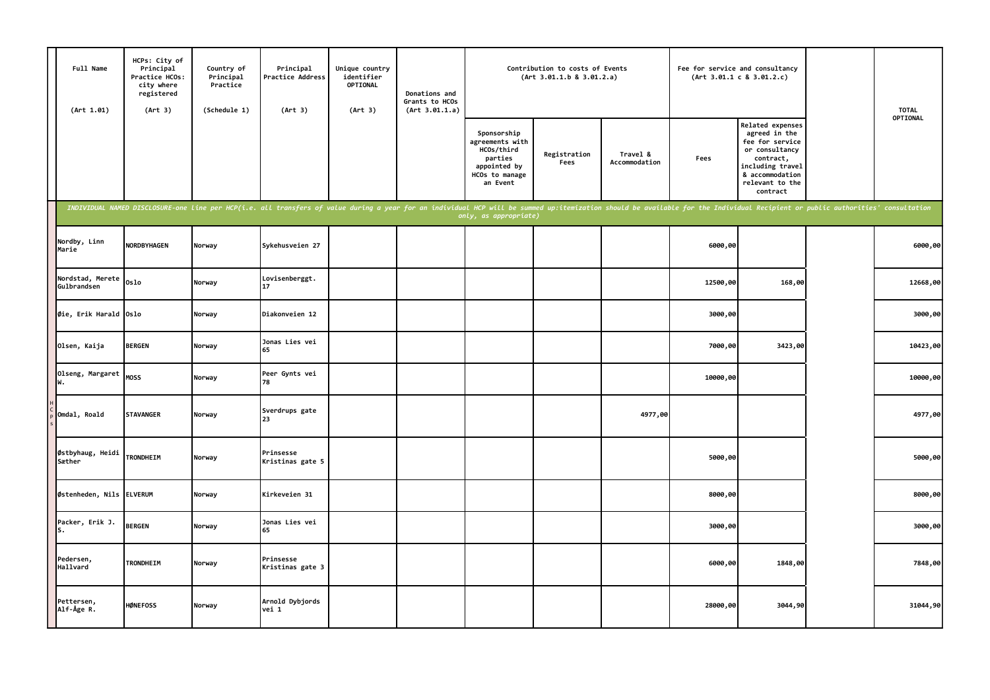| Full Name<br>(Art 1.01)         | HCPs: City of<br>Principal<br>Practice HCOs:<br>city where<br>registered<br>(Art 3) | Country of<br>Principal<br>Practice<br>(Schedule 1) | Principal<br>Practice Address<br>(Art 3)                                                                                                                                                                                       | Unique country<br>identifier<br><b>OPTIONAL</b><br>(Art 3) | Donations and<br>Grants to HCOs<br>(Art 3.01.1.a) |                                                                                                       | Contribution to costs of Events<br>(Art 3.01.1.b 8 3.01.2.a) |                           |          | Fee for service and consultancy<br>(Art 3.01.1 c 8 3.01.2.c)                                                                                              | <b>TOTAL</b> |
|---------------------------------|-------------------------------------------------------------------------------------|-----------------------------------------------------|--------------------------------------------------------------------------------------------------------------------------------------------------------------------------------------------------------------------------------|------------------------------------------------------------|---------------------------------------------------|-------------------------------------------------------------------------------------------------------|--------------------------------------------------------------|---------------------------|----------|-----------------------------------------------------------------------------------------------------------------------------------------------------------|--------------|
|                                 |                                                                                     |                                                     |                                                                                                                                                                                                                                |                                                            |                                                   | Sponsorship<br>agreements with<br>HCOs/third<br>parties<br>appointed by<br>HCOs to manage<br>an Event | Registration<br>Fees                                         | Travel &<br>Accommodation | Fees     | Related expenses<br>agreed in the<br>fee for service<br>or consultancy<br>contract,<br>including travel<br>& accommodation<br>relevant to the<br>contract | OPTIONAL     |
|                                 |                                                                                     |                                                     | INDIVIDUAL NAMED DISCLOSURE-one line per HCP(i.e. all transfers of value during a year for an individual HCP will be summed up:itemization should be available for the Individual Recipient or public authorities' consultatio |                                                            |                                                   | only, as appropriate)                                                                                 |                                                              |                           |          |                                                                                                                                                           |              |
| Nordby, Linn<br>Marie           | <b>NORDBYHAGEN</b>                                                                  | Norway                                              | Sykehusveien 27                                                                                                                                                                                                                |                                                            |                                                   |                                                                                                       |                                                              |                           | 6000,00  |                                                                                                                                                           | 6000,00      |
| Nordstad, Merete<br>Gulbrandsen | Oslo                                                                                | Norway                                              | Lovisenberggt.<br>17                                                                                                                                                                                                           |                                                            |                                                   |                                                                                                       |                                                              |                           | 12500,00 | 168,00                                                                                                                                                    | 12668,00     |
| Øie, Erik Harald Oslo           |                                                                                     | Norway                                              | Diakonveien 12                                                                                                                                                                                                                 |                                                            |                                                   |                                                                                                       |                                                              |                           | 3000,00  |                                                                                                                                                           | 3000,00      |
| Olsen, Kaija                    | <b>BERGEN</b>                                                                       | Norway                                              | Jonas Lies vei<br>65                                                                                                                                                                                                           |                                                            |                                                   |                                                                                                       |                                                              |                           | 7000,00  | 3423,00                                                                                                                                                   | 10423,00     |
| Olseng, Margaret                | <b>MOSS</b>                                                                         | Norway                                              | Peer Gynts vei<br>78                                                                                                                                                                                                           |                                                            |                                                   |                                                                                                       |                                                              |                           | 10000,00 |                                                                                                                                                           | 10000,00     |
| Omdal, Roald                    | <b>STAVANGER</b>                                                                    | Norway                                              | Sverdrups gate<br>23                                                                                                                                                                                                           |                                                            |                                                   |                                                                                                       |                                                              | 4977,00                   |          |                                                                                                                                                           | 4977,00      |
| Østbyhaug, Heidi<br>Sæther      | <b>TRONDHEIM</b>                                                                    | Norway                                              | Prinsesse<br>Kristinas gate 5                                                                                                                                                                                                  |                                                            |                                                   |                                                                                                       |                                                              |                           | 5000,00  |                                                                                                                                                           | 5000,00      |
| Østenheden, Nils ELVERUM        |                                                                                     | Norway                                              | Kirkeveien 31                                                                                                                                                                                                                  |                                                            |                                                   |                                                                                                       |                                                              |                           | 8000,00  |                                                                                                                                                           | 8000,00      |
| Packer, Erik J.<br>s.           | <b>BERGEN</b>                                                                       | Norway                                              | Jonas Lies vei<br>65                                                                                                                                                                                                           |                                                            |                                                   |                                                                                                       |                                                              |                           | 3000,00  |                                                                                                                                                           | 3000,00      |
| Pedersen,<br>Hallvard           | <b>TRONDHEIM</b>                                                                    | Norway                                              | Prinsesse<br>Kristinas gate 3                                                                                                                                                                                                  |                                                            |                                                   |                                                                                                       |                                                              |                           | 6000,00  | 1848,00                                                                                                                                                   | 7848,00      |
| Pettersen,<br>Alf-Åge R.        | <b>HØNEFOSS</b>                                                                     | Norway                                              | Arnold Dybjords<br>vei 1                                                                                                                                                                                                       |                                                            |                                                   |                                                                                                       |                                                              |                           | 28000,00 | 3044,90                                                                                                                                                   | 31044,90     |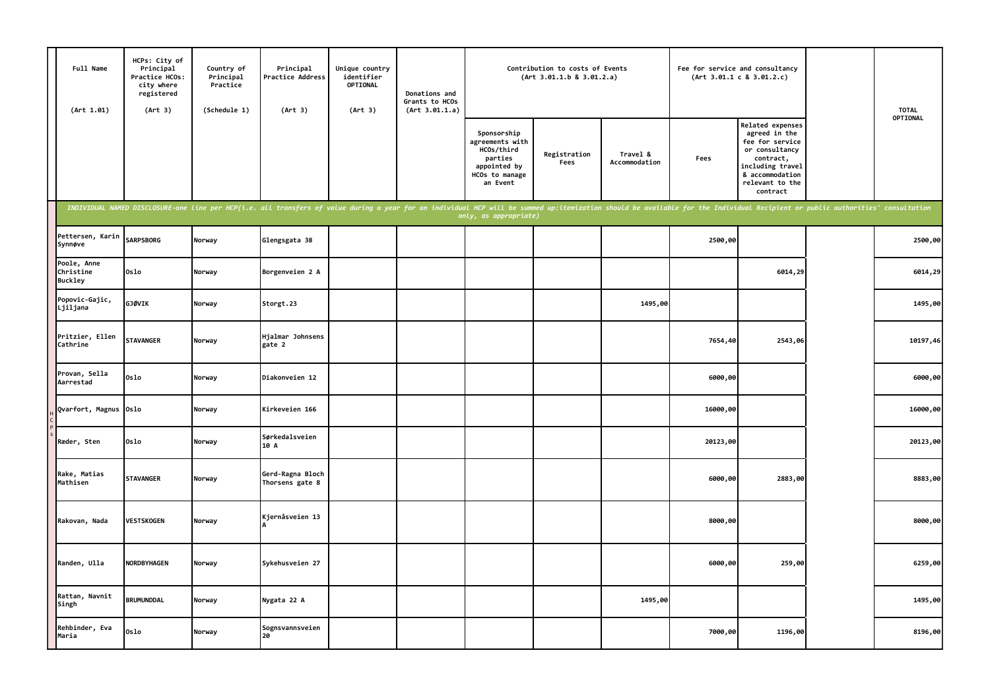| Full Name<br>(Art 1.01)                    | HCPs: City of<br>Principal<br>Practice HCOs:<br>city where<br>registered<br>(Art 3) | Country of<br>Principal<br>Practice<br>(Schedule 1) | Principal<br>Practice Address<br>(Art 3)                                                                                                                                                                                       | Unique country<br>identifier<br>OPTIONAL<br>(Art 3) | Donations and<br>Grants to HCOs<br>(Art 3.01.1.a) |                                                                                                       | Contribution to costs of Events<br>(Art 3.01.1.b 8 3.01.2.a) |                           |          | Fee for service and consultancy<br>(Art 3.01.1 c 8 3.01.2.c)                                                                                                     | <b>TOTAL</b> |
|--------------------------------------------|-------------------------------------------------------------------------------------|-----------------------------------------------------|--------------------------------------------------------------------------------------------------------------------------------------------------------------------------------------------------------------------------------|-----------------------------------------------------|---------------------------------------------------|-------------------------------------------------------------------------------------------------------|--------------------------------------------------------------|---------------------------|----------|------------------------------------------------------------------------------------------------------------------------------------------------------------------|--------------|
|                                            |                                                                                     |                                                     |                                                                                                                                                                                                                                |                                                     |                                                   | Sponsorship<br>agreements with<br>HCOs/third<br>parties<br>appointed by<br>HCOs to manage<br>an Event | Registration<br>Fees                                         | Travel &<br>Accommodation | Fees     | <b>Related expenses</b><br>agreed in the<br>fee for service<br>or consultancy<br>contract,<br>including travel<br>& accommodation<br>relevant to the<br>contract | OPTIONAL     |
|                                            |                                                                                     |                                                     | INDIVIDUAL NAMED DISCLOSURE-one line per HCP(i.e. all transfers of value during a year for an individual HCP will be summed up:itemization should be available for the Individual Recipient or public authorities' consultatio |                                                     |                                                   | only, as appropriate)                                                                                 |                                                              |                           |          |                                                                                                                                                                  |              |
| Pettersen, Karin<br>Synnøve                | <b>SARPSBORG</b>                                                                    | Norway                                              | Glengsgata 38                                                                                                                                                                                                                  |                                                     |                                                   |                                                                                                       |                                                              |                           | 2500,00  |                                                                                                                                                                  | 2500,00      |
| Poole, Anne<br>Christine<br><b>Buckley</b> | Oslo                                                                                | Norway                                              | Borgenveien 2 A                                                                                                                                                                                                                |                                                     |                                                   |                                                                                                       |                                                              |                           |          | 6014,29                                                                                                                                                          | 6014,29      |
| Popovic-Gajic,<br>Ljiljana                 | <b>GJØVIK</b>                                                                       | Norway                                              | Storgt.23                                                                                                                                                                                                                      |                                                     |                                                   |                                                                                                       |                                                              | 1495,00                   |          |                                                                                                                                                                  | 1495,00      |
| Pritzier, Ellen<br>Cathrine                | <b>STAVANGER</b>                                                                    | Norway                                              | Hjalmar Johnsens<br>gate 2                                                                                                                                                                                                     |                                                     |                                                   |                                                                                                       |                                                              |                           | 7654,40  | 2543,06                                                                                                                                                          | 10197,46     |
| Provan, Sella<br>Aarrestad                 | Oslo                                                                                | Norway                                              | Diakonveien 12                                                                                                                                                                                                                 |                                                     |                                                   |                                                                                                       |                                                              |                           | 6000,00  |                                                                                                                                                                  | 6000,00      |
| Qvarfort, Magnus Oslo                      |                                                                                     | Norway                                              | Kirkeveien 166                                                                                                                                                                                                                 |                                                     |                                                   |                                                                                                       |                                                              |                           | 16000,00 |                                                                                                                                                                  | 16000,00     |
| Ræder, Sten                                | Oslo                                                                                | Norway                                              | Sørkedalsveien<br>10 A                                                                                                                                                                                                         |                                                     |                                                   |                                                                                                       |                                                              |                           | 20123,00 |                                                                                                                                                                  | 20123,00     |
| Rake, Matias<br>Mathisen                   | <b>STAVANGER</b>                                                                    | Norway                                              | Gerd-Ragna Bloch<br>Thorsens gate 8                                                                                                                                                                                            |                                                     |                                                   |                                                                                                       |                                                              |                           | 6000,00  | 2883,00                                                                                                                                                          | 8883,00      |
| Rakovan, Nada                              | <b>VESTSKOGEN</b>                                                                   | Norway                                              | Kjernåsveien 13                                                                                                                                                                                                                |                                                     |                                                   |                                                                                                       |                                                              |                           | 8000,00  |                                                                                                                                                                  | 8000,00      |
| Randen, Ulla                               | NORDBYHAGEN                                                                         | Norway                                              | Sykehusveien 27                                                                                                                                                                                                                |                                                     |                                                   |                                                                                                       |                                                              |                           | 6000,00  | 259,00                                                                                                                                                           | 6259,00      |
| Rattan, Navnit<br>Singh                    | <b>BRUMUNDDAL</b>                                                                   | Norway                                              | Nygata 22 A                                                                                                                                                                                                                    |                                                     |                                                   |                                                                                                       |                                                              | 1495,00                   |          |                                                                                                                                                                  | 1495,00      |
| Rehbinder, Eva<br>Maria                    | Oslo                                                                                | Norway                                              | Sognsvannsveien<br>20                                                                                                                                                                                                          |                                                     |                                                   |                                                                                                       |                                                              |                           | 7000,00  | 1196,00                                                                                                                                                          | 8196,00      |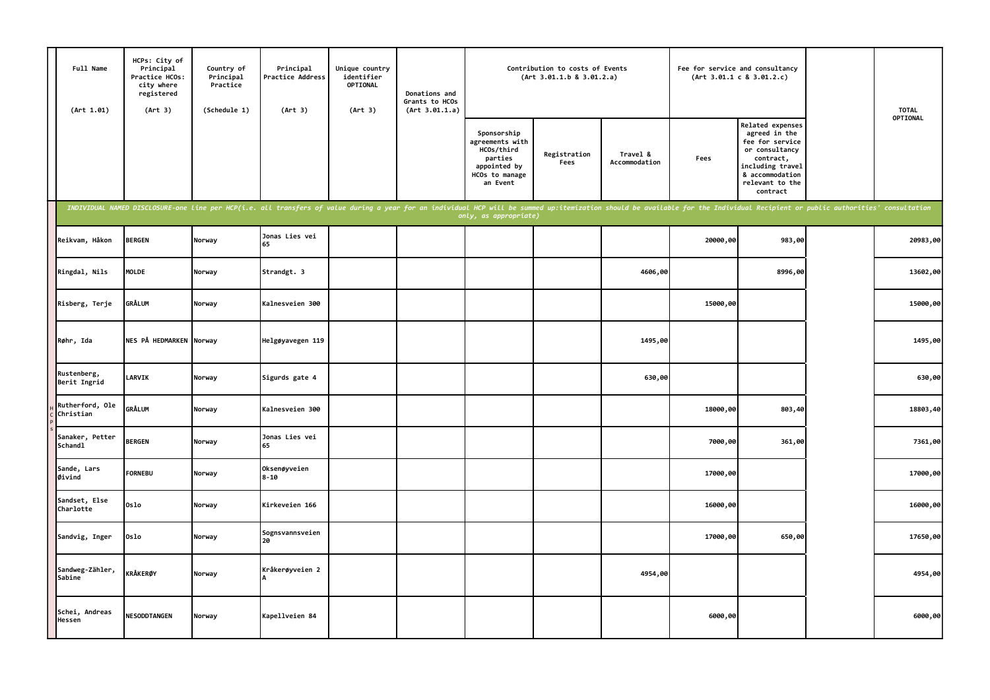| Full Name<br>(Art 1.01)      | HCPs: City of<br>Principal<br>Practice HCOs:<br>city where<br>registered<br>(Art 3) | Country of<br>Principal<br>Practice<br>(Schedule 1) | Principal<br>Practice Address<br>(Art 3)                                                                                                                                                                                       | Unique country<br>identifier<br><b>OPTIONAL</b><br>(Art 3) | Donations and<br>Grants to HCOs<br>(Art 3.01.1.a) |                                                                                                       | Contribution to costs of Events<br>(Art 3.01.1.b 8 3.01.2.a) |                           | Fee for service and consultancy | (Art 3.01.1 c 8 3.01.2.c)                                                                                                                                 | <b>TOTAL</b> |
|------------------------------|-------------------------------------------------------------------------------------|-----------------------------------------------------|--------------------------------------------------------------------------------------------------------------------------------------------------------------------------------------------------------------------------------|------------------------------------------------------------|---------------------------------------------------|-------------------------------------------------------------------------------------------------------|--------------------------------------------------------------|---------------------------|---------------------------------|-----------------------------------------------------------------------------------------------------------------------------------------------------------|--------------|
|                              |                                                                                     |                                                     |                                                                                                                                                                                                                                |                                                            |                                                   | Sponsorship<br>agreements with<br>HCOs/third<br>parties<br>appointed by<br>HCOs to manage<br>an Event | Registration<br>Fees                                         | Travel &<br>Accommodation | Fees                            | Related expenses<br>agreed in the<br>fee for service<br>or consultancy<br>contract,<br>including travel<br>& accommodation<br>relevant to the<br>contract | OPTIONAL     |
|                              |                                                                                     |                                                     | INDIVIDUAL NAMED DISCLOSURE-one line per HCP(i.e. all transfers of value during a year for an individual HCP will be summed up:itemization should be available for the Individual Recipient or public authorities' consultatio |                                                            |                                                   | only, as appropriate)                                                                                 |                                                              |                           |                                 |                                                                                                                                                           |              |
| Reikvam, Håkon               | <b>BERGEN</b>                                                                       | Norway                                              | Jonas Lies vei<br>65                                                                                                                                                                                                           |                                                            |                                                   |                                                                                                       |                                                              |                           | 20000,00                        | 983,00                                                                                                                                                    | 20983,00     |
| Ringdal, Nils                | MOLDE                                                                               | Norway                                              | Strandgt. 3                                                                                                                                                                                                                    |                                                            |                                                   |                                                                                                       |                                                              | 4606,00                   |                                 | 8996,00                                                                                                                                                   | 13602,00     |
| Risberg, Terje               | GRÅLUM                                                                              | Norway                                              | Kalnesveien 300                                                                                                                                                                                                                |                                                            |                                                   |                                                                                                       |                                                              |                           | 15000,00                        |                                                                                                                                                           | 15000,00     |
| Røhr, Ida                    | NES PÅ HEDMARKEN Norway                                                             |                                                     | Helgøyavegen 119                                                                                                                                                                                                               |                                                            |                                                   |                                                                                                       |                                                              | 1495,00                   |                                 |                                                                                                                                                           | 1495,00      |
| Rustenberg,<br>Berit Ingrid  | <b>LARVIK</b>                                                                       | Norway                                              | Sigurds gate 4                                                                                                                                                                                                                 |                                                            |                                                   |                                                                                                       |                                                              | 630,00                    |                                 |                                                                                                                                                           | 630,00       |
| Rutherford, Ole<br>Christian | <b>GRÅLUM</b>                                                                       | Norway                                              | Kalnesveien 300                                                                                                                                                                                                                |                                                            |                                                   |                                                                                                       |                                                              |                           | 18000,00                        | 803,40                                                                                                                                                    | 18803,40     |
| Sanaker, Petter<br>Schandl   | <b>BERGEN</b>                                                                       | Norway                                              | Jonas Lies vei<br>65                                                                                                                                                                                                           |                                                            |                                                   |                                                                                                       |                                                              |                           | 7000,00                         | 361,00                                                                                                                                                    | 7361,00      |
| Sande, Lars<br>Øivind        | <b>FORNEBU</b>                                                                      | Norway                                              | Oksenøyveien<br>$8 - 10$                                                                                                                                                                                                       |                                                            |                                                   |                                                                                                       |                                                              |                           | 17000,00                        |                                                                                                                                                           | 17000,00     |
| Sandset, Else<br>Charlotte   | Oslo                                                                                | Norway                                              | Kirkeveien 166                                                                                                                                                                                                                 |                                                            |                                                   |                                                                                                       |                                                              |                           | 16000,00                        |                                                                                                                                                           | 16000,00     |
| Sandvig, Inger               | Oslo                                                                                | Norway                                              | Sognsvannsveien<br>20                                                                                                                                                                                                          |                                                            |                                                   |                                                                                                       |                                                              |                           | 17000,00                        | 650,00                                                                                                                                                    | 17650,00     |
| Sandweg-Zähler,<br>Sabine    | KRÅKERØY                                                                            | Norway                                              | Kråkerøyveien 2                                                                                                                                                                                                                |                                                            |                                                   |                                                                                                       |                                                              | 4954,00                   |                                 |                                                                                                                                                           | 4954,00      |
| Schei, Andreas<br>Hessen     | <b>NESODDTANGEN</b>                                                                 | Norway                                              | Kapellveien 84                                                                                                                                                                                                                 |                                                            |                                                   |                                                                                                       |                                                              |                           | 6000,00                         |                                                                                                                                                           | 6000,00      |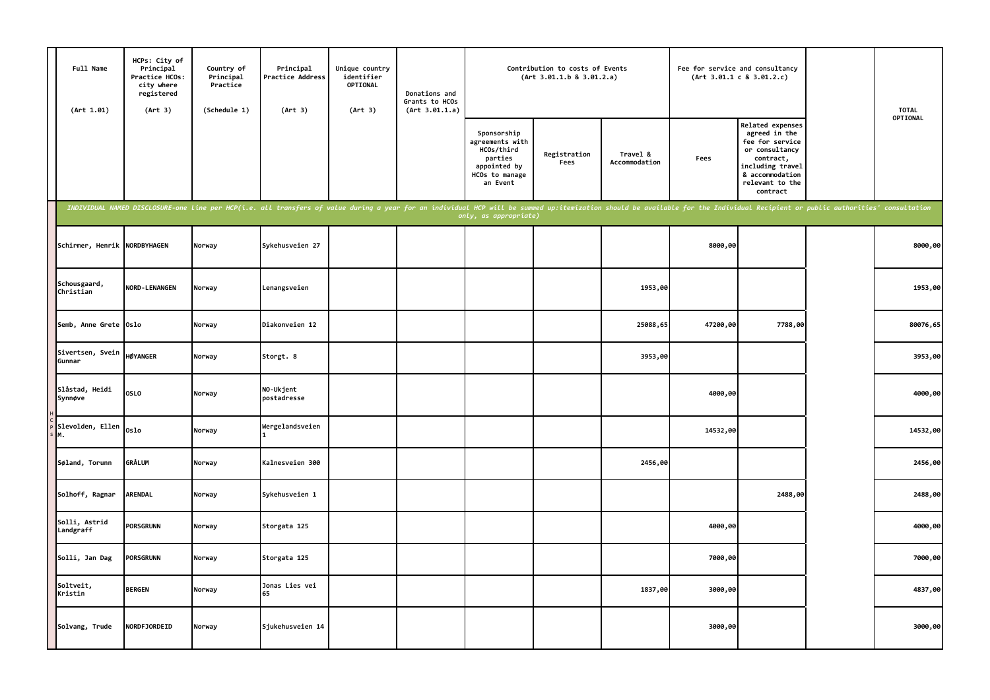| Full Name<br>(Art 1.01)      | HCPs: City of<br>Principal<br>Practice HCOs:<br>city where<br>registered<br>(Art 3) | Country of<br>Principal<br>Practice<br>(Schedule 1) | Principal<br>Practice Address<br>(Art 3)                                                                                                                                                                                       | Unique country<br>identifier<br><b>OPTIONAL</b><br>(Art 3) | Donations and<br>Grants to HCOs<br>(Art 3.01.1.a) |                                                                                                       | Contribution to costs of Events<br>(Art 3.01.1.b 8 3.01.2.a) |                           | Fee for service and consultancy | (Art 3.01.1 c 8 3.01.2.c)                                                                                                                                 | <b>TOTAL</b> |
|------------------------------|-------------------------------------------------------------------------------------|-----------------------------------------------------|--------------------------------------------------------------------------------------------------------------------------------------------------------------------------------------------------------------------------------|------------------------------------------------------------|---------------------------------------------------|-------------------------------------------------------------------------------------------------------|--------------------------------------------------------------|---------------------------|---------------------------------|-----------------------------------------------------------------------------------------------------------------------------------------------------------|--------------|
|                              |                                                                                     |                                                     |                                                                                                                                                                                                                                |                                                            |                                                   | Sponsorship<br>agreements with<br>HCOs/third<br>parties<br>appointed by<br>HCOs to manage<br>an Event | Registration<br>Fees                                         | Travel &<br>Accommodation | Fees                            | Related expenses<br>agreed in the<br>fee for service<br>or consultancy<br>contract,<br>including travel<br>& accommodation<br>relevant to the<br>contract | OPTIONAL     |
|                              |                                                                                     |                                                     | INDIVIDUAL NAMED DISCLOSURE-one line per HCP(i.e. all transfers of value during a year for an individual HCP will be summed up:itemization should be available for the Individual Recipient or public authorities' consultatio |                                                            |                                                   | only, as appropriate)                                                                                 |                                                              |                           |                                 |                                                                                                                                                           |              |
| Schirmer, Henrik NORDBYHAGEN |                                                                                     | Norway                                              | Sykehusveien 27                                                                                                                                                                                                                |                                                            |                                                   |                                                                                                       |                                                              |                           | 8000,00                         |                                                                                                                                                           | 8000,00      |
| Schousgaard,<br>Christian    | <b>NORD-LENANGEN</b>                                                                | Norway                                              | Lenangsveien                                                                                                                                                                                                                   |                                                            |                                                   |                                                                                                       |                                                              | 1953,00                   |                                 |                                                                                                                                                           | 1953,00      |
| Semb, Anne Grete Oslo        |                                                                                     | Norway                                              | Diakonveien 12                                                                                                                                                                                                                 |                                                            |                                                   |                                                                                                       |                                                              | 25088,65                  | 47200,00                        | 7788,00                                                                                                                                                   | 80076,65     |
| Sivertsen, Svein<br>Gunnar   | <b>HØYANGER</b>                                                                     | Norway                                              | Storgt. 8                                                                                                                                                                                                                      |                                                            |                                                   |                                                                                                       |                                                              | 3953,00                   |                                 |                                                                                                                                                           | 3953,00      |
| Slåstad, Heidi<br>Synnøve    | <b>OSLO</b>                                                                         | Norway                                              | NO-Ukjent<br>postadresse                                                                                                                                                                                                       |                                                            |                                                   |                                                                                                       |                                                              |                           | 4000,00                         |                                                                                                                                                           | 4000,00      |
| Slevolden, Ellen<br>М.       | Oslo                                                                                | Norway                                              | Wergelandsveien                                                                                                                                                                                                                |                                                            |                                                   |                                                                                                       |                                                              |                           | 14532,00                        |                                                                                                                                                           | 14532,00     |
| Søland, Torunn               | <b>GRÅLUM</b>                                                                       | Norway                                              | Kalnesveien 300                                                                                                                                                                                                                |                                                            |                                                   |                                                                                                       |                                                              | 2456,00                   |                                 |                                                                                                                                                           | 2456,00      |
| Solhoff, Ragnar              | <b>ARENDAL</b>                                                                      | Norway                                              | Sykehusveien 1                                                                                                                                                                                                                 |                                                            |                                                   |                                                                                                       |                                                              |                           |                                 | 2488,00                                                                                                                                                   | 2488,00      |
| Solli, Astrid<br>Landgraff   | <b>PORSGRUNN</b>                                                                    | Norway                                              | Storgata 125                                                                                                                                                                                                                   |                                                            |                                                   |                                                                                                       |                                                              |                           | 4000,00                         |                                                                                                                                                           | 4000,00      |
| Solli, Jan Dag               | <b>PORSGRUNN</b>                                                                    | Norway                                              | Storgata 125                                                                                                                                                                                                                   |                                                            |                                                   |                                                                                                       |                                                              |                           | 7000,00                         |                                                                                                                                                           | 7000,00      |
| Soltveit,<br>Kristin         | <b>BERGEN</b>                                                                       | Norway                                              | Jonas Lies vei<br>65                                                                                                                                                                                                           |                                                            |                                                   |                                                                                                       |                                                              | 1837,00                   | 3000,00                         |                                                                                                                                                           | 4837,00      |
| Solvang, Trude               | NORDFJORDEID                                                                        | Norway                                              | Sjukehusveien 14                                                                                                                                                                                                               |                                                            |                                                   |                                                                                                       |                                                              |                           | 3000,00                         |                                                                                                                                                           | 3000,00      |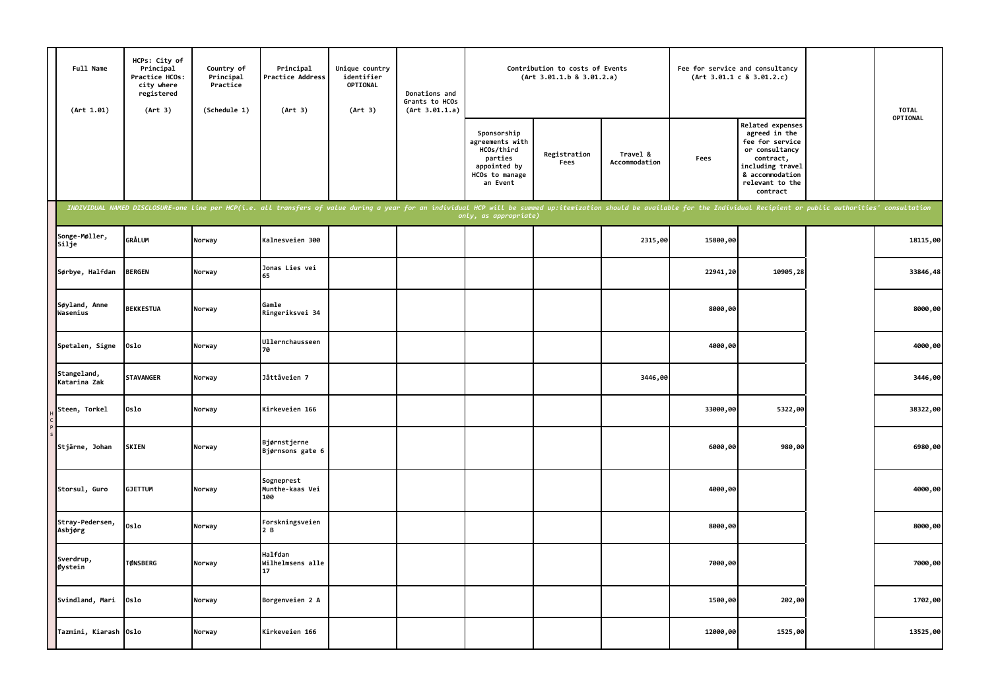| Full Name<br>(Art 1.01)     | HCPs: City of<br>Principal<br>Practice HCOs:<br>city where<br>registered<br>(Art 3) | Country of<br>Principal<br>Practice<br>(Schedule 1) | Principal<br>Practice Address<br>(Art 3)                                                                                                                                                                                       | Unique country<br>identifier<br>OPTIONAL<br>(Art 3) | Donations and<br>Grants to HCOs<br>(Art 3.01.1.a) |                                                                                                       | Contribution to costs of Events<br>(Art 3.01.1.b 8 3.01.2.a) |                           |          | Fee for service and consultancy<br>(Art 3.01.1 c 8 3.01.2.c)                                                                                              | <b>TOTAL</b> |
|-----------------------------|-------------------------------------------------------------------------------------|-----------------------------------------------------|--------------------------------------------------------------------------------------------------------------------------------------------------------------------------------------------------------------------------------|-----------------------------------------------------|---------------------------------------------------|-------------------------------------------------------------------------------------------------------|--------------------------------------------------------------|---------------------------|----------|-----------------------------------------------------------------------------------------------------------------------------------------------------------|--------------|
|                             |                                                                                     |                                                     |                                                                                                                                                                                                                                |                                                     |                                                   | Sponsorship<br>agreements with<br>HCOs/third<br>parties<br>appointed by<br>HCOs to manage<br>an Event | Registration<br>Fees                                         | Travel &<br>Accommodation | Fees     | Related expenses<br>agreed in the<br>fee for service<br>or consultancy<br>contract,<br>including travel<br>& accommodation<br>relevant to the<br>contract | OPTIONAL     |
|                             |                                                                                     |                                                     | INDIVIDUAL NAMED DISCLOSURE-one line per HCP(i.e. all transfers of value during a year for an individual HCP will be summed up:itemization should be available for the Individual Recipient or public authorities' consultatio |                                                     |                                                   | only, as appropriate)                                                                                 |                                                              |                           |          |                                                                                                                                                           |              |
| Songe-Møller,<br>Silje      | GRÅLUM                                                                              | Norway                                              | Kalnesveien 300                                                                                                                                                                                                                |                                                     |                                                   |                                                                                                       |                                                              | 2315,00                   | 15800,00 |                                                                                                                                                           | 18115,00     |
| Sørbye, Halfdan             | <b>BERGEN</b>                                                                       | Norway                                              | Jonas Lies vei<br>65                                                                                                                                                                                                           |                                                     |                                                   |                                                                                                       |                                                              |                           | 22941,20 | 10905,28                                                                                                                                                  | 33846,48     |
| Søyland, Anne<br>Wasenius   | <b>BEKKESTUA</b>                                                                    | Norway                                              | Gamle<br>Ringeriksvei 34                                                                                                                                                                                                       |                                                     |                                                   |                                                                                                       |                                                              |                           | 8000,00  |                                                                                                                                                           | 8000,00      |
| Spetalen, Signe             | 0slo                                                                                | Norway                                              | Ullernchausseen<br><b>70</b>                                                                                                                                                                                                   |                                                     |                                                   |                                                                                                       |                                                              |                           | 4000,00  |                                                                                                                                                           | 4000,00      |
| Stangeland,<br>Katarina Zak | <b>STAVANGER</b>                                                                    | Norway                                              | Jåttåveien 7                                                                                                                                                                                                                   |                                                     |                                                   |                                                                                                       |                                                              | 3446,00                   |          |                                                                                                                                                           | 3446,00      |
| Steen, Torkel               | 0slo                                                                                | Norway                                              | Kirkeveien 166                                                                                                                                                                                                                 |                                                     |                                                   |                                                                                                       |                                                              |                           | 33000,00 | 5322,00                                                                                                                                                   | 38322,00     |
| Stjärne, Johan              | <b>SKIEN</b>                                                                        | Norway                                              | Bjørnstjerne<br>Bjørnsons gate 6                                                                                                                                                                                               |                                                     |                                                   |                                                                                                       |                                                              |                           | 6000,00  | 980,00                                                                                                                                                    | 6980,00      |
| Storsul, Guro               | <b>GJETTUM</b>                                                                      | Norway                                              | Sogneprest<br>Munthe-kaas Vei<br>100                                                                                                                                                                                           |                                                     |                                                   |                                                                                                       |                                                              |                           | 4000,00  |                                                                                                                                                           | 4000,00      |
| Stray-Pedersen,<br>Asbjørg  | 0slo                                                                                | Norway                                              | Forskningsveien<br>2B                                                                                                                                                                                                          |                                                     |                                                   |                                                                                                       |                                                              |                           | 8000,00  |                                                                                                                                                           | 8000,00      |
| Sverdrup,<br>Øystein        | <b>TØNSBERG</b>                                                                     | Norway                                              | Halfdan<br>Wilhelmsens alle<br>17                                                                                                                                                                                              |                                                     |                                                   |                                                                                                       |                                                              |                           | 7000,00  |                                                                                                                                                           | 7000,00      |
| Svindland, Mari             | Oslo                                                                                | Norway                                              | Borgenveien 2 A                                                                                                                                                                                                                |                                                     |                                                   |                                                                                                       |                                                              |                           | 1500,00  | 202,00                                                                                                                                                    | 1702,00      |
| Tazmini, Kiarash Oslo       |                                                                                     | Norway                                              | Kirkeveien 166                                                                                                                                                                                                                 |                                                     |                                                   |                                                                                                       |                                                              |                           | 12000,00 | 1525,00                                                                                                                                                   | 13525,00     |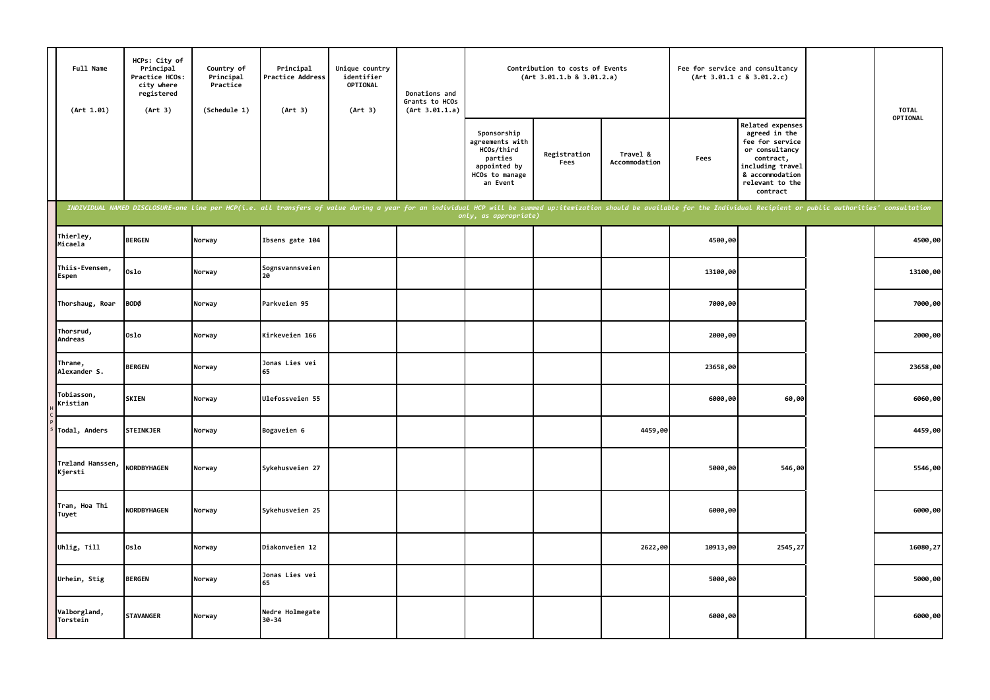| Full Name<br>(Art 1.01)     | HCPs: City of<br>Principal<br>Practice HCOs:<br>city where<br>registered<br>(Art 3)                                                                                                                                            | Country of<br>Principal<br>Practice<br>(Schedule 1) | Principal<br>Practice Address<br>(Art 3) | Unique country<br>identifier<br>OPTIONAL<br>(Art 3) | Donations and<br>Grants to HCOs<br>(Art 3.01.1.a) |                                                                                                       | Contribution to costs of Events<br>(Art 3.01.1.b 8 3.01.2.a) |                           |          | Fee for service and consultancy<br>(Art 3.01.1 c 8 3.01.2.c)                                                                                              | <b>TOTAL</b> |
|-----------------------------|--------------------------------------------------------------------------------------------------------------------------------------------------------------------------------------------------------------------------------|-----------------------------------------------------|------------------------------------------|-----------------------------------------------------|---------------------------------------------------|-------------------------------------------------------------------------------------------------------|--------------------------------------------------------------|---------------------------|----------|-----------------------------------------------------------------------------------------------------------------------------------------------------------|--------------|
|                             |                                                                                                                                                                                                                                |                                                     |                                          |                                                     |                                                   | Sponsorship<br>agreements with<br>HCOs/third<br>parties<br>appointed by<br>HCOs to manage<br>an Event | Registration<br>Fees                                         | Travel &<br>Accommodation | Fees     | Related expenses<br>agreed in the<br>fee for service<br>or consultancy<br>contract,<br>including travel<br>& accommodation<br>relevant to the<br>contract | OPTIONAL     |
|                             | INDIVIDUAL NAMED DISCLOSURE-one line per HCP(i.e. all transfers of value during a year for an individual HCP will be summed up:itemization should be available for the Individual Recipient or public authorities' consultatio |                                                     |                                          |                                                     |                                                   | only, as appropriate)                                                                                 |                                                              |                           |          |                                                                                                                                                           |              |
| Thierley,<br>Micaela        | <b>BERGEN</b>                                                                                                                                                                                                                  | Norway                                              | Ibsens gate 104                          |                                                     |                                                   |                                                                                                       |                                                              |                           | 4500,00  |                                                                                                                                                           | 4500,00      |
| Thiis-Evensen,<br>Espen     | Oslo                                                                                                                                                                                                                           | Norway                                              | Sognsvannsveien<br>20                    |                                                     |                                                   |                                                                                                       |                                                              |                           | 13100,00 |                                                                                                                                                           | 13100,00     |
| Thorshaug, Roar             | <b>BODØ</b>                                                                                                                                                                                                                    | Norway                                              | Parkveien 95                             |                                                     |                                                   |                                                                                                       |                                                              |                           | 7000,00  |                                                                                                                                                           | 7000,00      |
| Thorsrud,<br>Andreas        | Oslo                                                                                                                                                                                                                           | Norway                                              | Kirkeveien 166                           |                                                     |                                                   |                                                                                                       |                                                              |                           | 2000,00  |                                                                                                                                                           | 2000,00      |
| Thrane,<br>Alexander S.     | <b>BERGEN</b>                                                                                                                                                                                                                  | Norway                                              | Jonas Lies vei<br>65                     |                                                     |                                                   |                                                                                                       |                                                              |                           | 23658,00 |                                                                                                                                                           | 23658,00     |
| Tobiasson,<br>Kristian      | <b>SKIEN</b>                                                                                                                                                                                                                   | Norway                                              | Ulefossveien 55                          |                                                     |                                                   |                                                                                                       |                                                              |                           | 6000,00  | 60,00                                                                                                                                                     | 6060,00      |
| Todal, Anders               | <b>STEINKJER</b>                                                                                                                                                                                                               | Norway                                              | Bogaveien 6                              |                                                     |                                                   |                                                                                                       |                                                              | 4459,00                   |          |                                                                                                                                                           | 4459,00      |
| Træland Hanssen,<br>Kjersti | NORDBYHAGEN                                                                                                                                                                                                                    | Norway                                              | Sykehusveien 27                          |                                                     |                                                   |                                                                                                       |                                                              |                           | 5000,00  | 546,00                                                                                                                                                    | 5546,00      |
| Tran, Hoa Thi<br>Tuyet      | NORDBYHAGEN                                                                                                                                                                                                                    | Norway                                              | Sykehusveien 25                          |                                                     |                                                   |                                                                                                       |                                                              |                           | 6000,00  |                                                                                                                                                           | 6000,00      |
| Uhlig, Till                 | Oslo                                                                                                                                                                                                                           | Norway                                              | Diakonveien 12                           |                                                     |                                                   |                                                                                                       |                                                              | 2622,00                   | 10913,00 | 2545,27                                                                                                                                                   | 16080,27     |
| Urheim, Stig                | <b>BERGEN</b>                                                                                                                                                                                                                  | Norway                                              | Jonas Lies vei<br>65                     |                                                     |                                                   |                                                                                                       |                                                              |                           | 5000,00  |                                                                                                                                                           | 5000,00      |
| Valborgland,<br>Torstein    | <b>STAVANGER</b>                                                                                                                                                                                                               | Norway                                              | Nedre Holmegate<br>30-34                 |                                                     |                                                   |                                                                                                       |                                                              |                           | 6000,00  |                                                                                                                                                           | 6000,00      |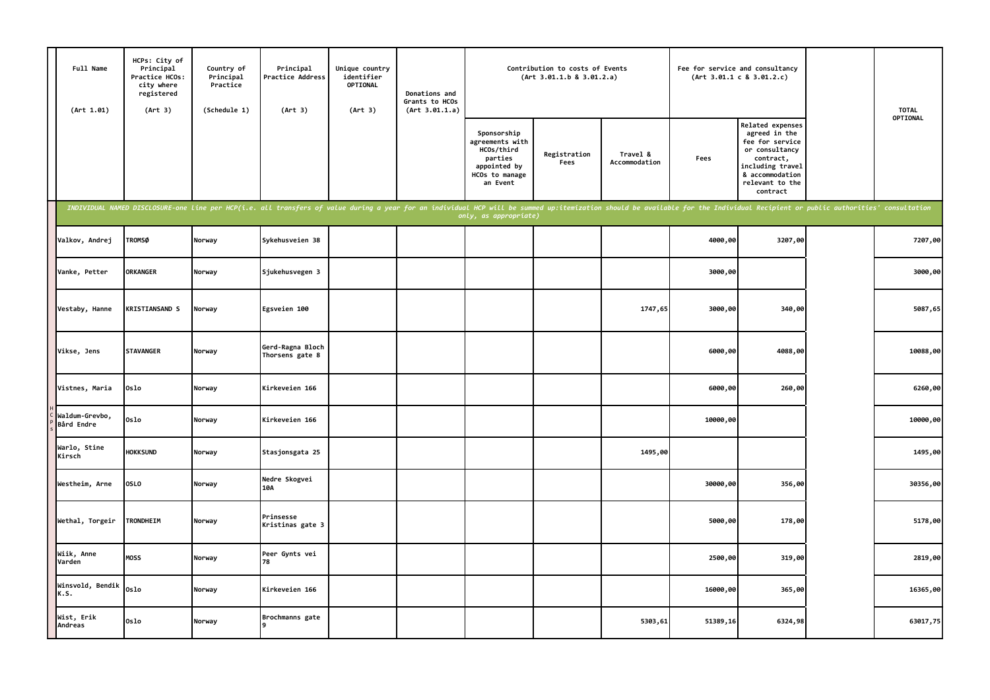| Full Name<br>(Art 1.01)      | HCPs: City of<br>Principal<br>Practice HCOs:<br>city where<br>registered<br>(Art 3)                                                                                                                                            | Country of<br>Principal<br>Practice<br>(Schedule 1) | Principal<br>Practice Address<br>(Art 3) | Unique country<br>identifier<br>OPTIONAL<br>(Art 3) | Donations and<br>Grants to HCOs<br>(Art 3.01.1.a) |                                                                                                       | Contribution to costs of Events<br>(Art 3.01.1.b 8 3.01.2.a) |                           |          | Fee for service and consultancy<br>(Art 3.01.1 c 8 3.01.2.c)                                                                                                     | <b>TOTAL</b> |
|------------------------------|--------------------------------------------------------------------------------------------------------------------------------------------------------------------------------------------------------------------------------|-----------------------------------------------------|------------------------------------------|-----------------------------------------------------|---------------------------------------------------|-------------------------------------------------------------------------------------------------------|--------------------------------------------------------------|---------------------------|----------|------------------------------------------------------------------------------------------------------------------------------------------------------------------|--------------|
|                              |                                                                                                                                                                                                                                |                                                     |                                          |                                                     |                                                   | Sponsorship<br>agreements with<br>HCOs/third<br>parties<br>appointed by<br>HCOs to manage<br>an Event | Registration<br>Fees                                         | Travel &<br>Accommodation | Fees     | <b>Related expenses</b><br>agreed in the<br>fee for service<br>or consultancy<br>contract,<br>including travel<br>& accommodation<br>relevant to the<br>contract | OPTIONAL     |
|                              | INDIVIDUAL NAMED DISCLOSURE-one line per HCP(i.e. all transfers of value during a year for an individual HCP will be summed up:itemization should be available for the Individual Recipient or public authorities' consultatio |                                                     |                                          |                                                     |                                                   | only, as appropriate)                                                                                 |                                                              |                           |          |                                                                                                                                                                  |              |
| Valkov, Andrej               | <b>TROMSØ</b>                                                                                                                                                                                                                  | Norway                                              | Sykehusveien 38                          |                                                     |                                                   |                                                                                                       |                                                              |                           | 4000,00  | 3207,00                                                                                                                                                          | 7207,00      |
| Vanke, Petter                | <b>ORKANGER</b>                                                                                                                                                                                                                | Norway                                              | Sjukehusvegen 3                          |                                                     |                                                   |                                                                                                       |                                                              |                           | 3000,00  |                                                                                                                                                                  | 3000,00      |
| Vestaby, Hanne               | <b>KRISTIANSAND S</b>                                                                                                                                                                                                          | Norway                                              | Egsveien 100                             |                                                     |                                                   |                                                                                                       |                                                              | 1747,65                   | 3000,00  | 340,00                                                                                                                                                           | 5087,65      |
| Vikse, Jens                  | <b>STAVANGER</b>                                                                                                                                                                                                               | Norway                                              | Gerd-Ragna Bloch<br>Thorsens gate 8      |                                                     |                                                   |                                                                                                       |                                                              |                           | 6000,00  | 4088,00                                                                                                                                                          | 10088,00     |
| Vistnes, Maria               | Oslo                                                                                                                                                                                                                           | Norway                                              | Kirkeveien 166                           |                                                     |                                                   |                                                                                                       |                                                              |                           | 6000,00  | 260,00                                                                                                                                                           | 6260,00      |
| Waldum-Grevbo,<br>Bård Endre | Oslo                                                                                                                                                                                                                           | Norway                                              | Kirkeveien 166                           |                                                     |                                                   |                                                                                                       |                                                              |                           | 10000,00 |                                                                                                                                                                  | 10000,00     |
| Warlo, Stine<br>Kirsch       | <b>HOKKSUND</b>                                                                                                                                                                                                                | Norway                                              | Stasjonsgata 25                          |                                                     |                                                   |                                                                                                       |                                                              | 1495,00                   |          |                                                                                                                                                                  | 1495,00      |
| Westheim, Arne               | <b>OSLO</b>                                                                                                                                                                                                                    | Norway                                              | Nedre Skogvei<br>10A                     |                                                     |                                                   |                                                                                                       |                                                              |                           | 30000,00 | 356,00                                                                                                                                                           | 30356,00     |
| Wethal, Torgeir              | TRONDHEIM                                                                                                                                                                                                                      | Norway                                              | Prinsesse<br>Kristinas gate 3            |                                                     |                                                   |                                                                                                       |                                                              |                           | 5000,00  | 178,00                                                                                                                                                           | 5178,00      |
| Wiik, Anne<br>Varden         | MOSS                                                                                                                                                                                                                           | Norway                                              | Peer Gynts vei<br>78                     |                                                     |                                                   |                                                                                                       |                                                              |                           | 2500,00  | 319,00                                                                                                                                                           | 2819,00      |
| Winsvold, Bendik<br>K.S.     | Oslo                                                                                                                                                                                                                           | Norway                                              | Kirkeveien 166                           |                                                     |                                                   |                                                                                                       |                                                              |                           | 16000,00 | 365,00                                                                                                                                                           | 16365,00     |
| Wist, Erik<br>Andreas        | Oslo                                                                                                                                                                                                                           | Norway                                              | Brochmanns gate                          |                                                     |                                                   |                                                                                                       |                                                              | 5303,61                   | 51389,16 | 6324,98                                                                                                                                                          | 63017,75     |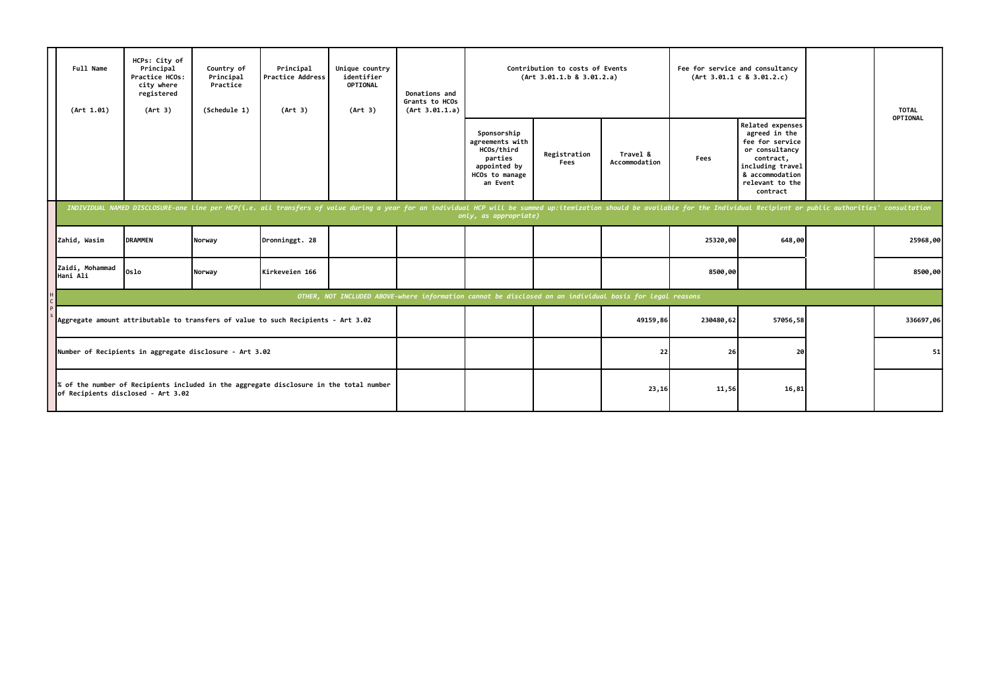| Full Name<br>(Art 1.01)     | HCPs: City of<br>Principal<br>Practice HCOs:<br>city where<br>registered<br>(Art 3) | Country of<br>Principal<br>Practice<br>(Schedule 1)     | Principal<br><b>Practice Address</b><br>(Art 3)                                                                                                                                                                                | Unique country<br>identifier<br>OPTIONAL<br>(Art 3) | Donations and<br>Grants to HCOs<br>(Art 3.01.1.a) |                                                                                                       | Contribution to costs of Events<br>(Art 3.01.1.b 8 3.01.2.a) |                                                                                                          |           | Fee for service and consultancy<br>(Art 3.01.1 c 8 3.01.2.c)                                                                                              | <b>TOTAL</b> |
|-----------------------------|-------------------------------------------------------------------------------------|---------------------------------------------------------|--------------------------------------------------------------------------------------------------------------------------------------------------------------------------------------------------------------------------------|-----------------------------------------------------|---------------------------------------------------|-------------------------------------------------------------------------------------------------------|--------------------------------------------------------------|----------------------------------------------------------------------------------------------------------|-----------|-----------------------------------------------------------------------------------------------------------------------------------------------------------|--------------|
|                             |                                                                                     |                                                         |                                                                                                                                                                                                                                |                                                     |                                                   | Sponsorship<br>agreements with<br>HCOs/third<br>parties<br>appointed by<br>HCOs to manage<br>an Event | Registration<br>Fees                                         | Travel &<br>Accommodation                                                                                | Fees      | Related expenses<br>agreed in the<br>fee for service<br>or consultancy<br>contract,<br>including travel<br>& accommodation<br>relevant to the<br>contract | OPTIONAL     |
|                             |                                                                                     |                                                         | INDIVIDUAL NAMED DISCLOSURE-one line per HCP(i.e. all transfers of value during a year for an individual HCP will be summed up:itemization should be available for the Individual Recipient or public authorities' consultatio |                                                     |                                                   | only, as appropriate)                                                                                 |                                                              |                                                                                                          |           |                                                                                                                                                           |              |
| Zahid, Wasim                | <b>DRAMMEN</b>                                                                      | Norway                                                  | Dronninggt. 28                                                                                                                                                                                                                 |                                                     |                                                   |                                                                                                       |                                                              |                                                                                                          | 25320,00  | 648,00                                                                                                                                                    | 25968,00     |
| Zaidi, Mohammad<br>Hani Ali | Oslo                                                                                | Norway                                                  | Kirkeveien 166                                                                                                                                                                                                                 |                                                     |                                                   |                                                                                                       |                                                              |                                                                                                          | 8500,00   |                                                                                                                                                           | 8500,00      |
|                             |                                                                                     |                                                         |                                                                                                                                                                                                                                |                                                     |                                                   |                                                                                                       |                                                              | OTHER, NOT INCLUDED ABOVE-where information cannot be disclosed on an individual basis for legal reasons |           |                                                                                                                                                           |              |
|                             |                                                                                     |                                                         | Aggregate amount attributable to transfers of value to such Recipients - Art 3.02                                                                                                                                              |                                                     |                                                   |                                                                                                       |                                                              | 49159,86                                                                                                 | 230480,62 | 57056,58                                                                                                                                                  | 336697,06    |
|                             |                                                                                     | Number of Recipients in aggregate disclosure - Art 3.02 |                                                                                                                                                                                                                                |                                                     |                                                   |                                                                                                       |                                                              | 22                                                                                                       | 26        | 20                                                                                                                                                        | 51           |
|                             | of Recipients disclosed - Art 3.02                                                  |                                                         | of the number of Recipients included in the aggregate disclosure in the total number                                                                                                                                           |                                                     |                                                   |                                                                                                       |                                                              | 23,16                                                                                                    | 11,56     | 16,81                                                                                                                                                     |              |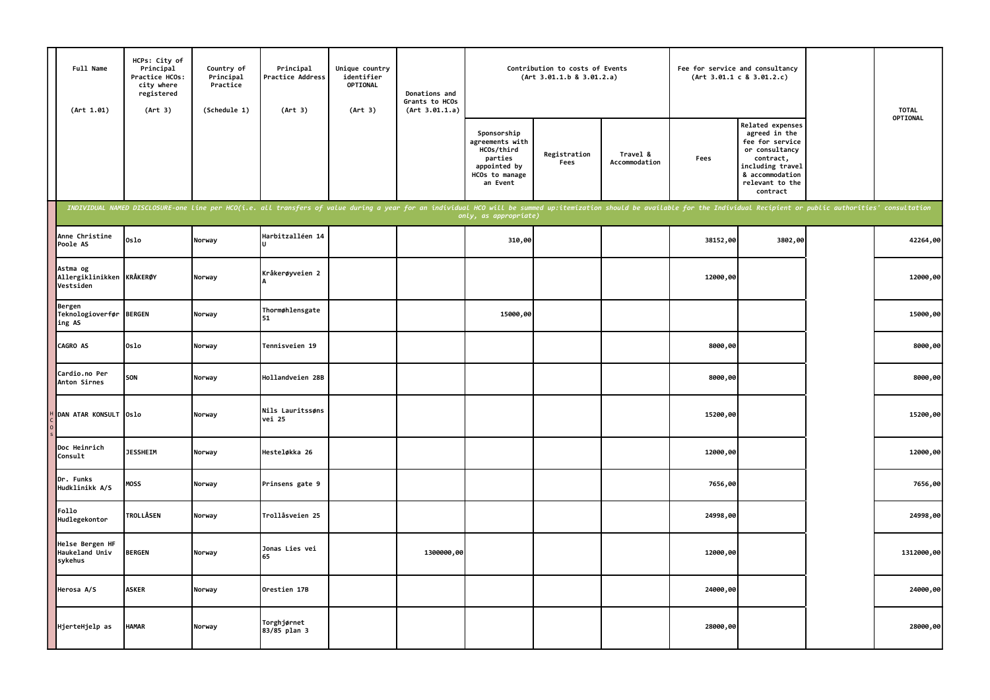| Full Name<br>(Art 1.01)                            | HCPs: City of<br>Principal<br>Practice HCOs:<br>city where<br>registered<br>(Art 3) | Country of<br>Principal<br>Practice<br>(Schedule 1) | Principal<br>Practice Address<br>(Art 3)                                                                                                                                                                                       | Unique country<br>identifier<br><b>OPTIONAL</b><br>(Art 3) | Donations and<br>Grants to HCOs<br>(Art 3.01.1.a) |                                                                                                       | Contribution to costs of Events<br>(Art 3.01.1.b 8 3.01.2.a) |                           |          | Fee for service and consultancy<br>(Art 3.01.1 c 8 3.01.2.c)                                                                                                     | <b>TOTAL</b> |
|----------------------------------------------------|-------------------------------------------------------------------------------------|-----------------------------------------------------|--------------------------------------------------------------------------------------------------------------------------------------------------------------------------------------------------------------------------------|------------------------------------------------------------|---------------------------------------------------|-------------------------------------------------------------------------------------------------------|--------------------------------------------------------------|---------------------------|----------|------------------------------------------------------------------------------------------------------------------------------------------------------------------|--------------|
|                                                    |                                                                                     |                                                     |                                                                                                                                                                                                                                |                                                            |                                                   | Sponsorship<br>agreements with<br>HCOs/third<br>parties<br>appointed by<br>HCOs to manage<br>an Event | Registration<br>Fees                                         | Travel &<br>Accommodation | Fees     | <b>Related expenses</b><br>agreed in the<br>fee for service<br>or consultancy<br>contract,<br>including travel<br>& accommodation<br>relevant to the<br>contract | OPTIONAL     |
|                                                    |                                                                                     |                                                     | INDIVIDUAL NAMED DISCLOSURE-one line per HCO(i.e. all transfers of value during a year for an individual HCO will be summed up:itemization should be available for the Individual Recipient or public authorities' consultatio |                                                            |                                                   | only, as appropriate)                                                                                 |                                                              |                           |          |                                                                                                                                                                  |              |
| Anne Christine<br>Poole AS                         | Oslo                                                                                | Norway                                              | Harbitzalléen 14                                                                                                                                                                                                               |                                                            |                                                   | 310,00                                                                                                |                                                              |                           | 38152,00 | 3802,00                                                                                                                                                          | 42264,00     |
| Astma og<br>Allergiklinikken KRÅKERØY<br>Vestsiden |                                                                                     | Norway                                              | Kråkerøyveien 2                                                                                                                                                                                                                |                                                            |                                                   |                                                                                                       |                                                              |                           | 12000,00 |                                                                                                                                                                  | 12000,00     |
| Bergen<br>Teknologioverfør<br>ing AS               | <b>BERGEN</b>                                                                       | Norway                                              | Thormøhlensgate<br>51                                                                                                                                                                                                          |                                                            |                                                   | 15000,00                                                                                              |                                                              |                           |          |                                                                                                                                                                  | 15000,00     |
| CAGRO AS                                           | 0slo                                                                                | Norway                                              | Tennisveien 19                                                                                                                                                                                                                 |                                                            |                                                   |                                                                                                       |                                                              |                           | 8000,00  |                                                                                                                                                                  | 8000,00      |
| Cardio.no Per<br>Anton Sirnes                      | SON                                                                                 | Norway                                              | Hollandveien 28B                                                                                                                                                                                                               |                                                            |                                                   |                                                                                                       |                                                              |                           | 8000,00  |                                                                                                                                                                  | 8000,00      |
| DAN ATAR KONSULT                                   | Oslo                                                                                | Norway                                              | Nils Lauritssøns<br>vei 25                                                                                                                                                                                                     |                                                            |                                                   |                                                                                                       |                                                              |                           | 15200,00 |                                                                                                                                                                  | 15200,00     |
| Doc Heinrich<br>Consult                            | <b>JESSHEIM</b>                                                                     | Norway                                              | Hesteløkka 26                                                                                                                                                                                                                  |                                                            |                                                   |                                                                                                       |                                                              |                           | 12000,00 |                                                                                                                                                                  | 12000,00     |
| Dr. Funks<br>Hudklinikk A/S                        | MOSS                                                                                | Norway                                              | Prinsens gate 9                                                                                                                                                                                                                |                                                            |                                                   |                                                                                                       |                                                              |                           | 7656,00  |                                                                                                                                                                  | 7656,00      |
| Follo<br>Hudlegekontor                             | <b>TROLLÅSEN</b>                                                                    | Norway                                              | Trollåsveien 25                                                                                                                                                                                                                |                                                            |                                                   |                                                                                                       |                                                              |                           | 24998,00 |                                                                                                                                                                  | 24998,00     |
| Helse Bergen HF<br>Haukeland Univ<br>sykehus       | <b>BERGEN</b>                                                                       | Norway                                              | Jonas Lies vei<br>65                                                                                                                                                                                                           |                                                            | 1300000,00                                        |                                                                                                       |                                                              |                           | 12000,00 |                                                                                                                                                                  | 1312000,00   |
| Herosa A/S                                         | <b>ASKER</b>                                                                        | Norway                                              | Orestien 17B                                                                                                                                                                                                                   |                                                            |                                                   |                                                                                                       |                                                              |                           | 24000,00 |                                                                                                                                                                  | 24000,00     |
| HjerteHjelp as                                     | HAMAR                                                                               | Norway                                              | Torghjørnet<br>83/85 plan 3                                                                                                                                                                                                    |                                                            |                                                   |                                                                                                       |                                                              |                           | 28000,00 |                                                                                                                                                                  | 28000,00     |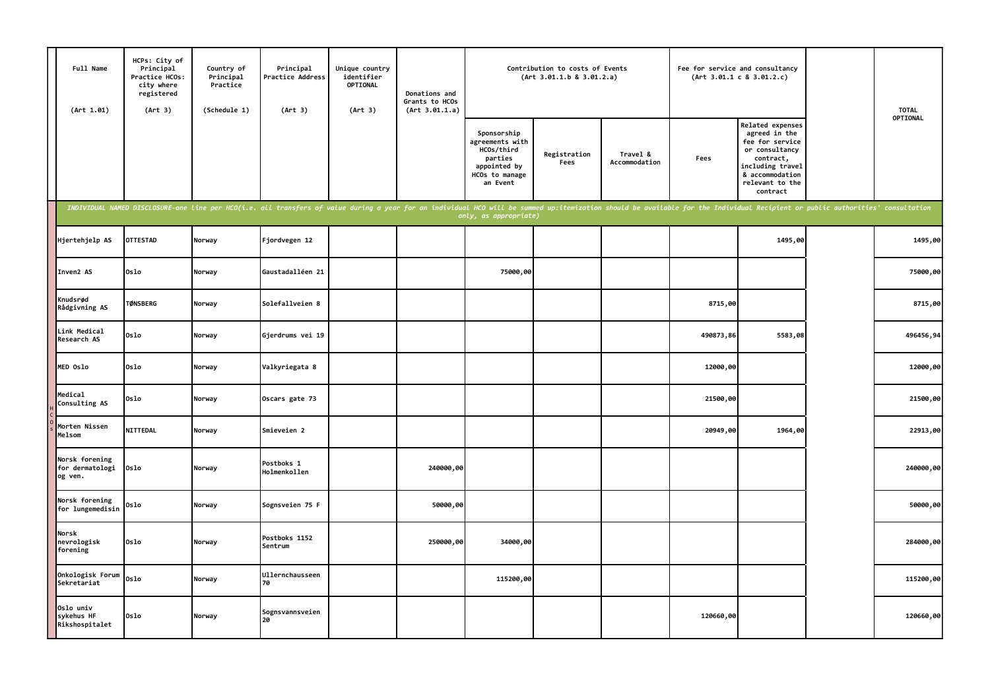| Full Name<br>(Art 1.01)                      | HCPs: City of<br>Principal<br>Practice HCOs:<br>city where<br>registered<br>(Art 3) | Country of<br>Principal<br>Practice<br>(Schedule 1) | Principal<br><b>Practice Address</b><br>(Art 3)                                                                                                                                                                                | Unique country<br>identifier<br><b>OPTIONAL</b><br>(Art 3) | Donations and<br>Grants to HCOs<br>(Art 3.01.1.a) |                                                                                                       | Contribution to costs of Events<br>(Art 3.01.1.b 8 3.01.2.a) |                           |           | Fee for service and consultancy<br>(Art 3.01.1 c 8 3.01.2.c)                                                                                              |  | <b>TOTAL</b><br>OPTIONAL |
|----------------------------------------------|-------------------------------------------------------------------------------------|-----------------------------------------------------|--------------------------------------------------------------------------------------------------------------------------------------------------------------------------------------------------------------------------------|------------------------------------------------------------|---------------------------------------------------|-------------------------------------------------------------------------------------------------------|--------------------------------------------------------------|---------------------------|-----------|-----------------------------------------------------------------------------------------------------------------------------------------------------------|--|--------------------------|
|                                              |                                                                                     |                                                     |                                                                                                                                                                                                                                |                                                            |                                                   | Sponsorship<br>agreements with<br>HCOs/third<br>parties<br>appointed by<br>HCOs to manage<br>an Event | Registration<br>Fees                                         | Travel &<br>Accommodation | Fees      | Related expenses<br>agreed in the<br>fee for service<br>or consultancy<br>contract,<br>including travel<br>& accommodation<br>relevant to the<br>contract |  |                          |
|                                              |                                                                                     |                                                     | INDIVIDUAL NAMED DISCLOSURE-one line per HCO(i.e. all transfers of value during a year for an individual HCO will be summed up:itemization should be available for the Individual Recipient or public authorities' consultatio |                                                            |                                                   | only, as appropriate)                                                                                 |                                                              |                           |           |                                                                                                                                                           |  |                          |
| Hjertehjelp AS                               | <b>OTTESTAD</b>                                                                     | Norway                                              | Fjordvegen 12                                                                                                                                                                                                                  |                                                            |                                                   |                                                                                                       |                                                              |                           |           | 1495,00                                                                                                                                                   |  | 1495,00                  |
| Inven2 AS                                    | Oslo                                                                                | Norway                                              | Gaustadalléen 21                                                                                                                                                                                                               |                                                            |                                                   | 75000,00                                                                                              |                                                              |                           |           |                                                                                                                                                           |  | 75000,00                 |
| Knudsrød<br>Rådgivning AS                    | <b>TØNSBERG</b>                                                                     | Norway                                              | Solefallveien 8                                                                                                                                                                                                                |                                                            |                                                   |                                                                                                       |                                                              |                           | 8715,00   |                                                                                                                                                           |  | 8715,00                  |
| Link Medical<br>Research AS                  | Oslo                                                                                | Norway                                              | Gjerdrums vei 19                                                                                                                                                                                                               |                                                            |                                                   |                                                                                                       |                                                              |                           | 490873,86 | 5583,08                                                                                                                                                   |  | 496456,94                |
| MED Oslo                                     | Oslo                                                                                | Norway                                              | Valkyriegata 8                                                                                                                                                                                                                 |                                                            |                                                   |                                                                                                       |                                                              |                           | 12000,00  |                                                                                                                                                           |  | 12000,00                 |
| Medical<br>Consulting AS                     | Oslo                                                                                | Norway                                              | Oscars gate 73                                                                                                                                                                                                                 |                                                            |                                                   |                                                                                                       |                                                              |                           | 21500,00  |                                                                                                                                                           |  | 21500,00                 |
| Morten Nissen<br>Melsom                      | <b>NITTEDAL</b>                                                                     | Norway                                              | Smieveien 2                                                                                                                                                                                                                    |                                                            |                                                   |                                                                                                       |                                                              |                           | 20949,00  | 1964,00                                                                                                                                                   |  | 22913,00                 |
| Norsk forening<br>for dermatologi<br>og ven. | 0slo                                                                                | Norway                                              | Postboks 1<br>Holmenkollen                                                                                                                                                                                                     |                                                            | 240000,00                                         |                                                                                                       |                                                              |                           |           |                                                                                                                                                           |  | 240000,00                |
| <b>Norsk forening</b><br>for lungemedisin    | Oslo                                                                                | Norway                                              | Sognsveien 75 F                                                                                                                                                                                                                |                                                            | 50000,00                                          |                                                                                                       |                                                              |                           |           |                                                                                                                                                           |  | 50000,00                 |
| Norsk<br>nevrologisk<br>forening             | 0slo                                                                                | Norway                                              | Postboks 1152<br>Sentrum                                                                                                                                                                                                       |                                                            | 250000,00                                         | 34000,00                                                                                              |                                                              |                           |           |                                                                                                                                                           |  | 284000,00                |
| Onkologisk Forum<br>Sekretariat              | Oslo                                                                                | Norway                                              | Ullernchausseen<br>70                                                                                                                                                                                                          |                                                            |                                                   | 115200,00                                                                                             |                                                              |                           |           |                                                                                                                                                           |  | 115200,00                |
| Oslo univ<br>sykehus HF<br>Rikshospitalet    | Oslo                                                                                | Norway                                              | Sognsvannsveien<br>20                                                                                                                                                                                                          |                                                            |                                                   |                                                                                                       |                                                              |                           | 120660,00 |                                                                                                                                                           |  | 120660,00                |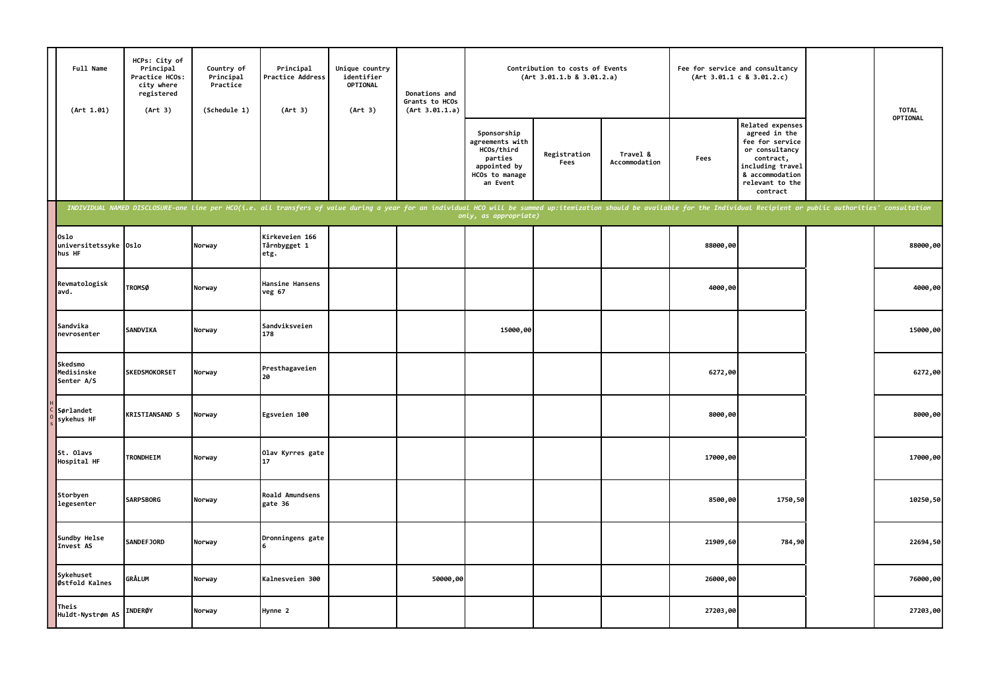| Full Name<br>(Art 1.01)                 | HCPs: City of<br>Principal<br>Practice HCOs:<br>city where<br>registered<br>(Art 3) | Country of<br>Principal<br>Practice<br>(Schedule 1) | Principal<br><b>Practice Address</b><br>(Art 3)                                                                                                                                                                                | Unique country<br>identifier<br>OPTIONAL<br>(Art 3) | Donations and<br>Grants to HCOs<br>(Art 3.01.1.a) | Contribution to costs of Events<br>(Art 3.01.1.b 8 3.01.2.a)                                          |                      |                           | Fee for service and consultancy<br>(Art 3.01.1 c 8 3.01.2.c) |                                                                                                                                                                  | <b>TOTAL</b> |
|-----------------------------------------|-------------------------------------------------------------------------------------|-----------------------------------------------------|--------------------------------------------------------------------------------------------------------------------------------------------------------------------------------------------------------------------------------|-----------------------------------------------------|---------------------------------------------------|-------------------------------------------------------------------------------------------------------|----------------------|---------------------------|--------------------------------------------------------------|------------------------------------------------------------------------------------------------------------------------------------------------------------------|--------------|
|                                         |                                                                                     |                                                     |                                                                                                                                                                                                                                |                                                     |                                                   | Sponsorship<br>agreements with<br>HCOs/third<br>parties<br>appointed by<br>HCOs to manage<br>an Event | Registration<br>Fees | Travel &<br>Accommodation | Fees                                                         | <b>Related expenses</b><br>agreed in the<br>fee for service<br>or consultancy<br>contract,<br>including travel<br>& accommodation<br>relevant to the<br>contract | OPTIONAL     |
|                                         |                                                                                     |                                                     | INDIVIDUAL NAMED DISCLOSURE-one line per HCO(i.e. all transfers of value during a year for an individual HCO will be summed up:itemization should be available for the Individual Recipient or public authorities' consultatio |                                                     |                                                   | only, as appropriate)                                                                                 |                      |                           |                                                              |                                                                                                                                                                  |              |
| Oslo<br>universitetssyke Oslo<br>hus HF |                                                                                     | Norway                                              | Kirkeveien 166<br>Tårnbygget 1<br>etg.                                                                                                                                                                                         |                                                     |                                                   |                                                                                                       |                      |                           | 88000,00                                                     |                                                                                                                                                                  | 88000,00     |
| Revmatologisk<br>avd.                   | <b>TROMSØ</b>                                                                       | Norway                                              | Hansine Hansens<br>veg 67                                                                                                                                                                                                      |                                                     |                                                   |                                                                                                       |                      |                           | 4000,00                                                      |                                                                                                                                                                  | 4000,00      |
| Sandvika<br>nevrosenter                 | SANDVIKA                                                                            | Norway                                              | Sandviksveien<br>178                                                                                                                                                                                                           |                                                     |                                                   | 15000,00                                                                                              |                      |                           |                                                              |                                                                                                                                                                  | 15000,00     |
| Skedsmo<br>Medisinske<br>Senter A/S     | <b>SKEDSMOKORSET</b>                                                                | Norway                                              | Presthagaveien<br>20                                                                                                                                                                                                           |                                                     |                                                   |                                                                                                       |                      |                           | 6272,00                                                      |                                                                                                                                                                  | 6272,00      |
| Sørlandet<br>sykehus HF                 | <b>KRISTIANSAND S</b>                                                               | Norway                                              | Egsveien 100                                                                                                                                                                                                                   |                                                     |                                                   |                                                                                                       |                      |                           | 8000,00                                                      |                                                                                                                                                                  | 8000,00      |
| St. Olavs<br>Hospital HF                | <b>TRONDHEIM</b>                                                                    | Norway                                              | Olav Kyrres gate<br>17                                                                                                                                                                                                         |                                                     |                                                   |                                                                                                       |                      |                           | 17000,00                                                     |                                                                                                                                                                  | 17000,00     |
| Storbyen<br>legesenter                  | <b>SARPSBORG</b>                                                                    | Norway                                              | Roald Amundsens<br>gate 36                                                                                                                                                                                                     |                                                     |                                                   |                                                                                                       |                      |                           | 8500,00                                                      | 1750,50                                                                                                                                                          | 10250,50     |
| Sundby Helse<br>Invest AS               | <b>SANDEFJORD</b>                                                                   | Norway                                              | Dronningens gate                                                                                                                                                                                                               |                                                     |                                                   |                                                                                                       |                      |                           | 21909,60                                                     | 784,90                                                                                                                                                           | 22694,50     |
| Sykehuset<br>Østfold Kalnes             | <b>GRÅLUM</b>                                                                       | Norway                                              | Kalnesveien 300                                                                                                                                                                                                                |                                                     | 50000,00                                          |                                                                                                       |                      |                           | 26000,00                                                     |                                                                                                                                                                  | 76000,00     |
| Theis<br>Huldt-Nystrøm AS               | <b>INDERØY</b>                                                                      | Norway                                              | Hynne 2                                                                                                                                                                                                                        |                                                     |                                                   |                                                                                                       |                      |                           | 27203,00                                                     |                                                                                                                                                                  | 27203,00     |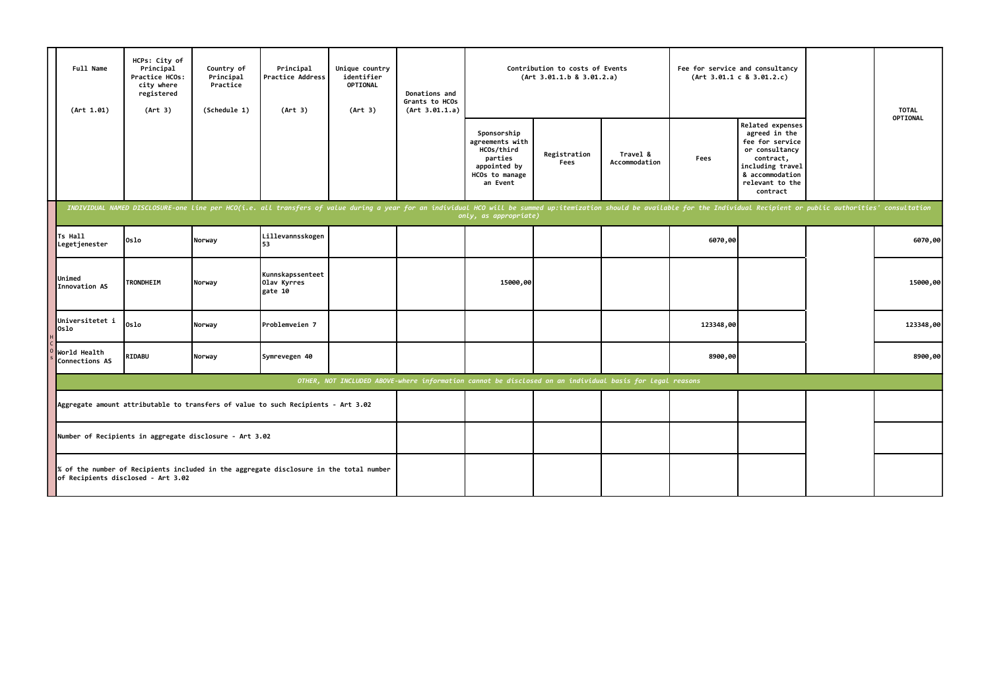| Full Name<br>(Art 1.01)                                                                                                      | HCPs: City of<br>Principal<br>Practice HCOs:<br>city where<br>registered<br>(Art 3) | Country of<br>Principal<br>Practice<br>(Schedule 1) | Principal<br>Practice Address<br>(Art 3)                                                                                                                                                                                       | Unique country<br>identifier<br><b>OPTIONAL</b><br>(Art 3) | Donations and<br>Grants to HCOs<br>(Art 3.01.1.a) |                                                                                                       | Contribution to costs of Events<br>(Art 3.01.1.b 8 3.01.2.a) |                           | Fee for service and consultancy<br>(Art 3.01.1 c 8 3.01.2.c) |                                                                                                                                                           |  | <b>TOTAL</b> |  |
|------------------------------------------------------------------------------------------------------------------------------|-------------------------------------------------------------------------------------|-----------------------------------------------------|--------------------------------------------------------------------------------------------------------------------------------------------------------------------------------------------------------------------------------|------------------------------------------------------------|---------------------------------------------------|-------------------------------------------------------------------------------------------------------|--------------------------------------------------------------|---------------------------|--------------------------------------------------------------|-----------------------------------------------------------------------------------------------------------------------------------------------------------|--|--------------|--|
|                                                                                                                              |                                                                                     |                                                     |                                                                                                                                                                                                                                |                                                            |                                                   | Sponsorship<br>agreements with<br>HCOs/third<br>parties<br>appointed by<br>HCOs to manage<br>an Event | Registration<br>Fees                                         | Travel &<br>Accommodation | Fees                                                         | Related expenses<br>agreed in the<br>fee for service<br>or consultancy<br>contract,<br>including travel<br>& accommodation<br>relevant to the<br>contract |  | OPTIONAL     |  |
|                                                                                                                              |                                                                                     |                                                     | INDIVIDUAL NAMED DISCLOSURE-one line per HCO(i.e. all transfers of value during a year for an individual HCO will be summed up:itemization should be available for the Individual Recipient or public authorities' consultatio |                                                            |                                                   | only, as appropriate)                                                                                 |                                                              |                           |                                                              |                                                                                                                                                           |  |              |  |
| Ts Hall<br>Legetjenester                                                                                                     | Oslo                                                                                | Norway                                              | Lillevannsskogen<br>53                                                                                                                                                                                                         |                                                            |                                                   |                                                                                                       |                                                              |                           | 6070,00                                                      |                                                                                                                                                           |  | 6070,00      |  |
| Unimed<br>Innovation AS                                                                                                      | <b>TRONDHEIM</b>                                                                    | Norway                                              | Kunnskapssenteet<br>Olav Kyrres<br>gate 10                                                                                                                                                                                     |                                                            |                                                   | 15000,00                                                                                              |                                                              |                           |                                                              |                                                                                                                                                           |  | 15000,00     |  |
| Universitetet i<br>Oslo                                                                                                      | Oslo                                                                                | Norway                                              | Problemveien 7                                                                                                                                                                                                                 |                                                            |                                                   |                                                                                                       |                                                              |                           | 123348,00                                                    |                                                                                                                                                           |  | 123348,00    |  |
| World Health<br>Connections AS                                                                                               | RIDABU                                                                              | Norway                                              | Symrevegen 40                                                                                                                                                                                                                  |                                                            |                                                   |                                                                                                       |                                                              |                           | 8900,00                                                      |                                                                                                                                                           |  | 8900,00      |  |
| OTHER, NOT INCLUDED ABOVE-where information cannot be disclosed on an individual basis for legal reasons                     |                                                                                     |                                                     |                                                                                                                                                                                                                                |                                                            |                                                   |                                                                                                       |                                                              |                           |                                                              |                                                                                                                                                           |  |              |  |
| Aggregate amount attributable to transfers of value to such Recipients - Art 3.02                                            |                                                                                     |                                                     |                                                                                                                                                                                                                                |                                                            |                                                   |                                                                                                       |                                                              |                           |                                                              |                                                                                                                                                           |  |              |  |
| Number of Recipients in aggregate disclosure - Art 3.02                                                                      |                                                                                     |                                                     |                                                                                                                                                                                                                                |                                                            |                                                   |                                                                                                       |                                                              |                           |                                                              |                                                                                                                                                           |  |              |  |
| % of the number of Recipients included in the aggregate disclosure in the total number<br>of Recipients disclosed - Art 3.02 |                                                                                     |                                                     |                                                                                                                                                                                                                                |                                                            |                                                   |                                                                                                       |                                                              |                           |                                                              |                                                                                                                                                           |  |              |  |